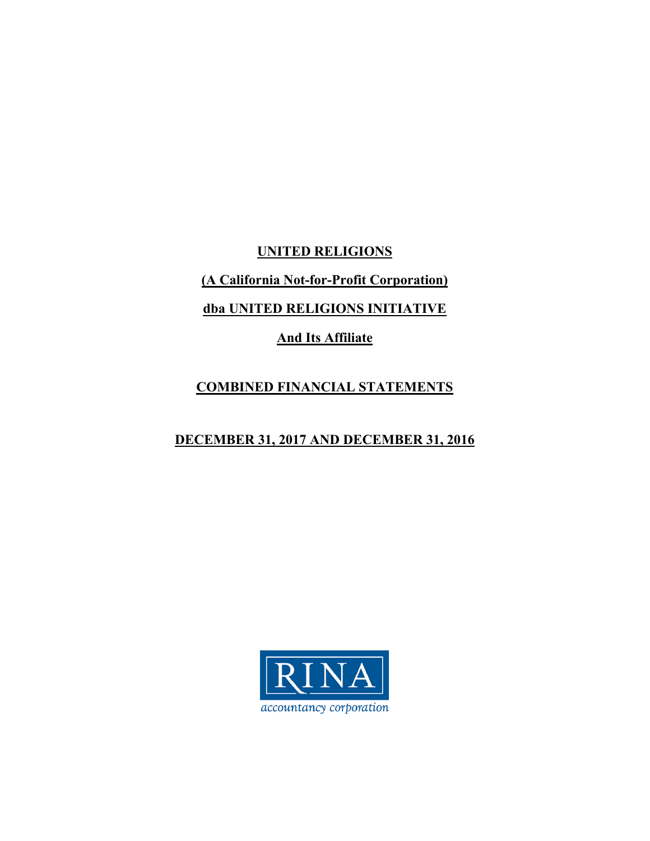**UNITED RELIGIONS** 

**(A California Not-for-Profit Corporation)** 

**dba UNITED RELIGIONS INITIATIVE** 

**And Its Affiliate** 

# **COMBINED FINANCIAL STATEMENTS**

# **DECEMBER 31, 2017 AND DECEMBER 31, 2016**

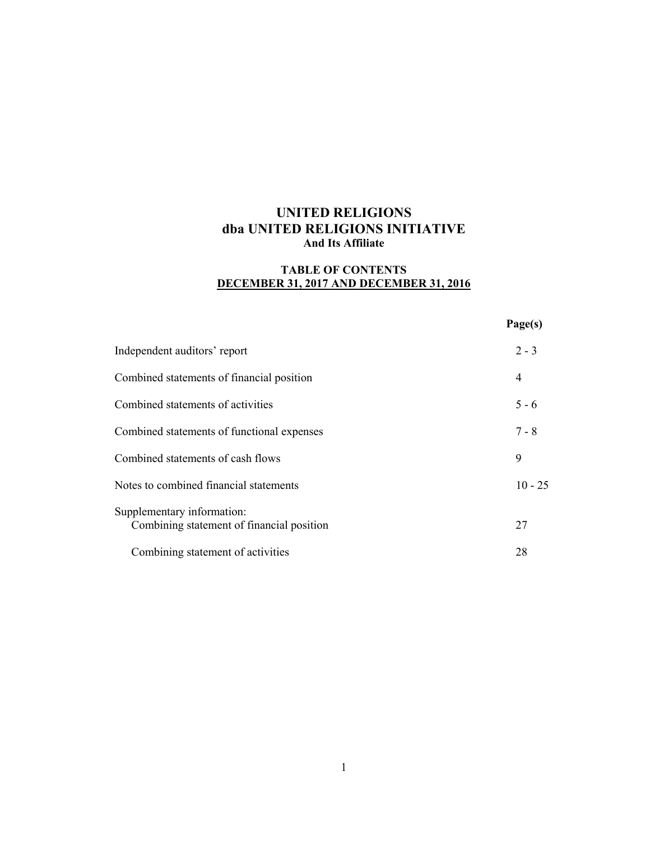## **TABLE OF CONTENTS DECEMBER 31, 2017 AND DECEMBER 31, 2016**

#### **Page(s)**

| Independent auditors' report                                            | $2 - 3$   |
|-------------------------------------------------------------------------|-----------|
| Combined statements of financial position                               | 4         |
| Combined statements of activities                                       | $5 - 6$   |
| Combined statements of functional expenses                              | $7 - 8$   |
| Combined statements of cash flows                                       | 9         |
| Notes to combined financial statements                                  | $10 - 25$ |
| Supplementary information:<br>Combining statement of financial position | 27        |
| Combining statement of activities                                       | 28        |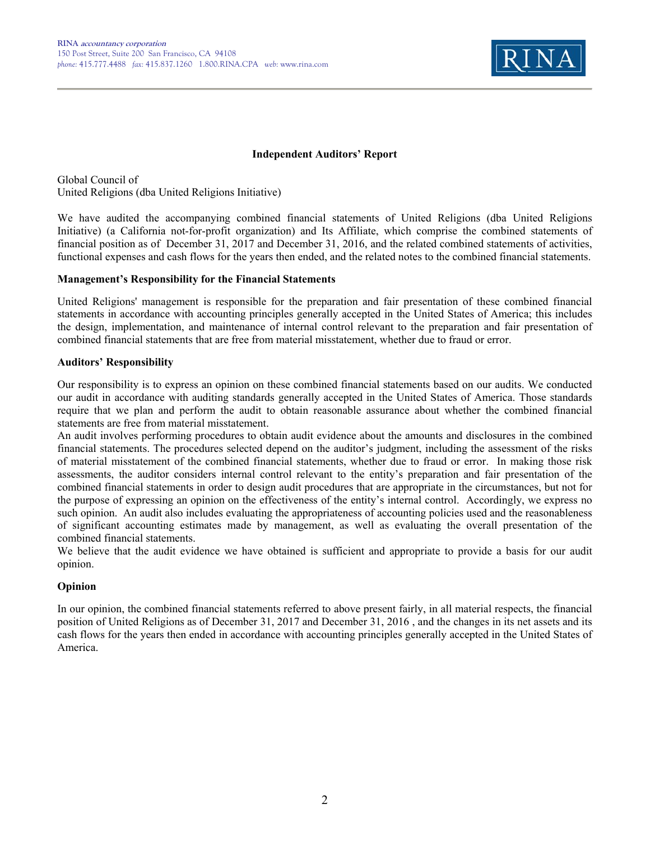

#### **Independent Auditors' Report**

Global Council of United Religions (dba United Religions Initiative)

We have audited the accompanying combined financial statements of United Religions (dba United Religions Initiative) (a California not-for-profit organization) and Its Affiliate, which comprise the combined statements of financial position as of December 31, 2017 and December 31, 2016, and the related combined statements of activities, functional expenses and cash flows for the years then ended, and the related notes to the combined financial statements.

#### **Management's Responsibility for the Financial Statements**

United Religions' management is responsible for the preparation and fair presentation of these combined financial statements in accordance with accounting principles generally accepted in the United States of America; this includes the design, implementation, and maintenance of internal control relevant to the preparation and fair presentation of combined financial statements that are free from material misstatement, whether due to fraud or error.

#### **Auditors' Responsibility**

Our responsibility is to express an opinion on these combined financial statements based on our audits. We conducted our audit in accordance with auditing standards generally accepted in the United States of America. Those standards require that we plan and perform the audit to obtain reasonable assurance about whether the combined financial statements are free from material misstatement.

An audit involves performing procedures to obtain audit evidence about the amounts and disclosures in the combined financial statements. The procedures selected depend on the auditor's judgment, including the assessment of the risks of material misstatement of the combined financial statements, whether due to fraud or error. In making those risk assessments, the auditor considers internal control relevant to the entity's preparation and fair presentation of the combined financial statements in order to design audit procedures that are appropriate in the circumstances, but not for the purpose of expressing an opinion on the effectiveness of the entity's internal control. Accordingly, we express no such opinion. An audit also includes evaluating the appropriateness of accounting policies used and the reasonableness of significant accounting estimates made by management, as well as evaluating the overall presentation of the combined financial statements.

We believe that the audit evidence we have obtained is sufficient and appropriate to provide a basis for our audit opinion.

### **Opinion**

In our opinion, the combined financial statements referred to above present fairly, in all material respects, the financial position of United Religions as of December 31, 2017 and December 31, 2016 , and the changes in its net assets and its cash flows for the years then ended in accordance with accounting principles generally accepted in the United States of America.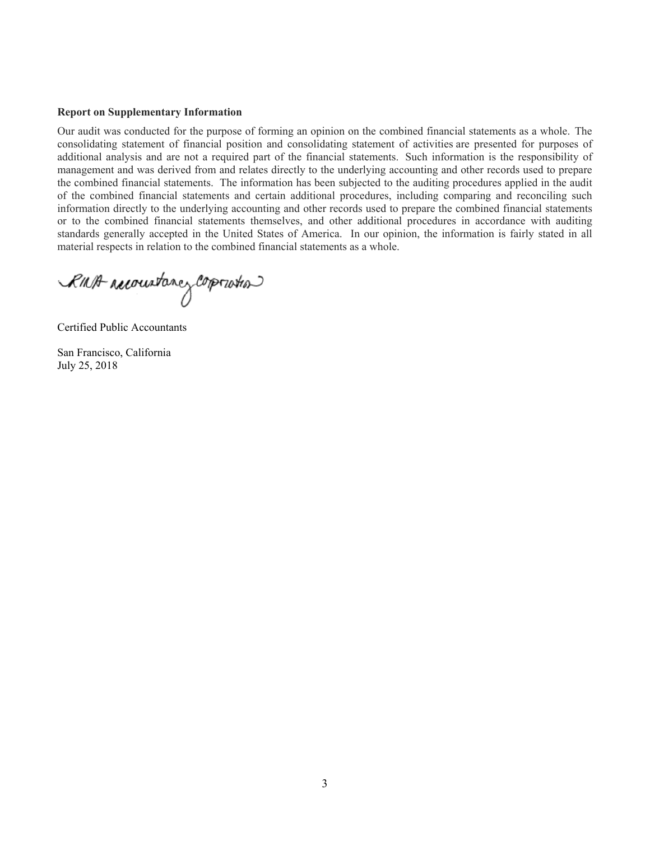#### **Report on Supplementary Information**

Our audit was conducted for the purpose of forming an opinion on the combined financial statements as a whole. The consolidating statement of financial position and consolidating statement of activities are presented for purposes of additional analysis and are not a required part of the financial statements. Such information is the responsibility of management and was derived from and relates directly to the underlying accounting and other records used to prepare the combined financial statements. The information has been subjected to the auditing procedures applied in the audit of the combined financial statements and certain additional procedures, including comparing and reconciling such information directly to the underlying accounting and other records used to prepare the combined financial statements or to the combined financial statements themselves, and other additional procedures in accordance with auditing standards generally accepted in the United States of America. In our opinion, the information is fairly stated in all material respects in relation to the combined financial statements as a whole.

RINA reconstance corporation

Certified Public Accountants

San Francisco, California July 25, 2018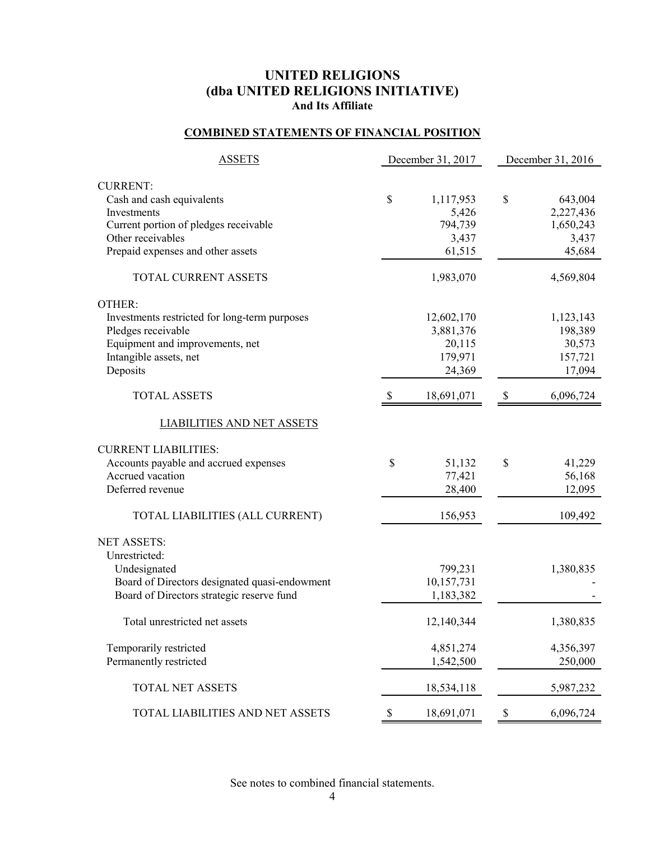## **COMBINED STATEMENTS OF FINANCIAL POSITION**

| <b>ASSETS</b>                                 | December 31, 2017 |            |                           | December 31, 2016 |
|-----------------------------------------------|-------------------|------------|---------------------------|-------------------|
| <b>CURRENT:</b>                               |                   |            |                           |                   |
| Cash and cash equivalents                     | $\mathcal{S}$     | 1,117,953  | \$                        | 643,004           |
| Investments                                   |                   | 5,426      |                           | 2,227,436         |
| Current portion of pledges receivable         |                   | 794,739    |                           | 1,650,243         |
| Other receivables                             |                   | 3,437      |                           | 3,437             |
| Prepaid expenses and other assets             |                   | 61,515     |                           | 45,684            |
| TOTAL CURRENT ASSETS                          |                   | 1,983,070  |                           | 4,569,804         |
| OTHER:                                        |                   |            |                           |                   |
| Investments restricted for long-term purposes |                   | 12,602,170 |                           | 1,123,143         |
| Pledges receivable                            |                   | 3,881,376  |                           | 198,389           |
| Equipment and improvements, net               |                   | 20,115     |                           | 30,573            |
| Intangible assets, net                        |                   | 179,971    |                           | 157,721           |
| Deposits                                      |                   | 24,369     |                           | 17,094            |
| <b>TOTAL ASSETS</b>                           | - \$              | 18,691,071 | $\boldsymbol{\mathsf{S}}$ | 6,096,724         |
| <b>LIABILITIES AND NET ASSETS</b>             |                   |            |                           |                   |
| <b>CURRENT LIABILITIES:</b>                   |                   |            |                           |                   |
| Accounts payable and accrued expenses         | \$                | 51,132     | \$                        | 41,229            |
| Accrued vacation                              |                   | 77,421     |                           | 56,168            |
| Deferred revenue                              |                   | 28,400     |                           | 12,095            |
| TOTAL LIABILITIES (ALL CURRENT)               |                   | 156,953    |                           | 109,492           |
| <b>NET ASSETS:</b>                            |                   |            |                           |                   |
| Unrestricted:                                 |                   |            |                           |                   |
| Undesignated                                  |                   | 799,231    |                           | 1,380,835         |
| Board of Directors designated quasi-endowment |                   | 10,157,731 |                           |                   |
| Board of Directors strategic reserve fund     |                   | 1,183,382  |                           |                   |
| Total unrestricted net assets                 |                   | 12,140,344 |                           | 1,380,835         |
| Temporarily restricted                        |                   | 4,851,274  |                           | 4,356,397         |
| Permanently restricted                        |                   | 1,542,500  |                           | 250,000           |
| <b>TOTAL NET ASSETS</b>                       |                   | 18,534,118 |                           | 5,987,232         |
| TOTAL LIABILITIES AND NET ASSETS              | \$                | 18,691,071 | $\boldsymbol{\mathsf{S}}$ | 6,096,724         |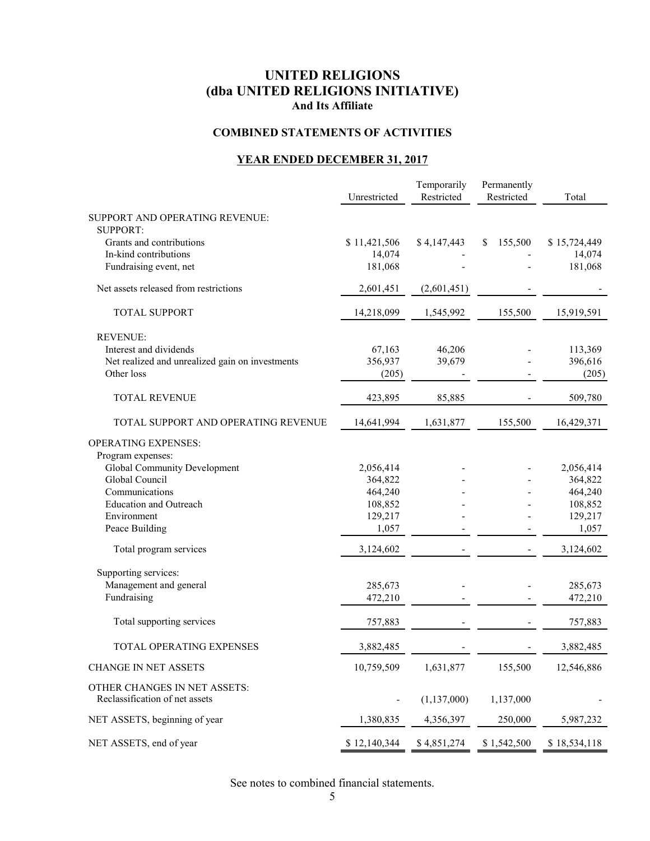## **COMBINED STATEMENTS OF ACTIVITIES**

## **YEAR ENDED DECEMBER 31, 2017**

|                                                 | Unrestricted | Temporarily<br>Restricted | Permanently<br>Restricted | Total        |
|-------------------------------------------------|--------------|---------------------------|---------------------------|--------------|
| SUPPORT AND OPERATING REVENUE:                  |              |                           |                           |              |
| <b>SUPPORT:</b>                                 |              |                           |                           |              |
| Grants and contributions                        | \$11,421,506 | \$4,147,443               | 155,500<br>\$             | \$15,724,449 |
| In-kind contributions                           | 14,074       |                           |                           | 14,074       |
| Fundraising event, net                          | 181,068      |                           |                           | 181,068      |
| Net assets released from restrictions           | 2,601,451    | (2,601,451)               |                           |              |
| <b>TOTAL SUPPORT</b>                            | 14,218,099   | 1,545,992                 | 155,500                   | 15,919,591   |
| <b>REVENUE:</b>                                 |              |                           |                           |              |
| Interest and dividends                          | 67,163       | 46,206                    |                           | 113,369      |
| Net realized and unrealized gain on investments | 356,937      | 39,679                    |                           | 396,616      |
| Other loss                                      | (205)        |                           |                           | (205)        |
| <b>TOTAL REVENUE</b>                            | 423,895      | 85,885                    |                           | 509,780      |
| TOTAL SUPPORT AND OPERATING REVENUE             | 14,641,994   | 1,631,877                 | 155,500                   | 16,429,371   |
| <b>OPERATING EXPENSES:</b>                      |              |                           |                           |              |
| Program expenses:                               |              |                           |                           |              |
| Global Community Development                    | 2,056,414    |                           |                           | 2,056,414    |
| Global Council                                  | 364,822      |                           |                           | 364,822      |
| Communications                                  | 464,240      |                           |                           | 464,240      |
| <b>Education and Outreach</b>                   | 108,852      |                           |                           | 108,852      |
| Environment                                     | 129,217      |                           |                           | 129,217      |
| Peace Building                                  | 1,057        |                           |                           | 1,057        |
| Total program services                          | 3,124,602    |                           |                           | 3,124,602    |
| Supporting services:                            |              |                           |                           |              |
| Management and general                          | 285,673      |                           |                           | 285,673      |
| Fundraising                                     | 472,210      |                           |                           | 472,210      |
| Total supporting services                       | 757,883      |                           |                           | 757,883      |
| TOTAL OPERATING EXPENSES                        | 3,882,485    |                           |                           | 3,882,485    |
| <b>CHANGE IN NET ASSETS</b>                     | 10,759,509   | 1,631,877                 | 155,500                   | 12,546,886   |
| OTHER CHANGES IN NET ASSETS:                    |              |                           |                           |              |
| Reclassification of net assets                  |              | (1, 137, 000)             | 1,137,000                 |              |
| NET ASSETS, beginning of year                   | 1,380,835    | 4,356,397                 | 250,000                   | 5,987,232    |
| NET ASSETS, end of year                         | \$12,140,344 | \$4,851,274               | \$1,542,500               | \$18,534,118 |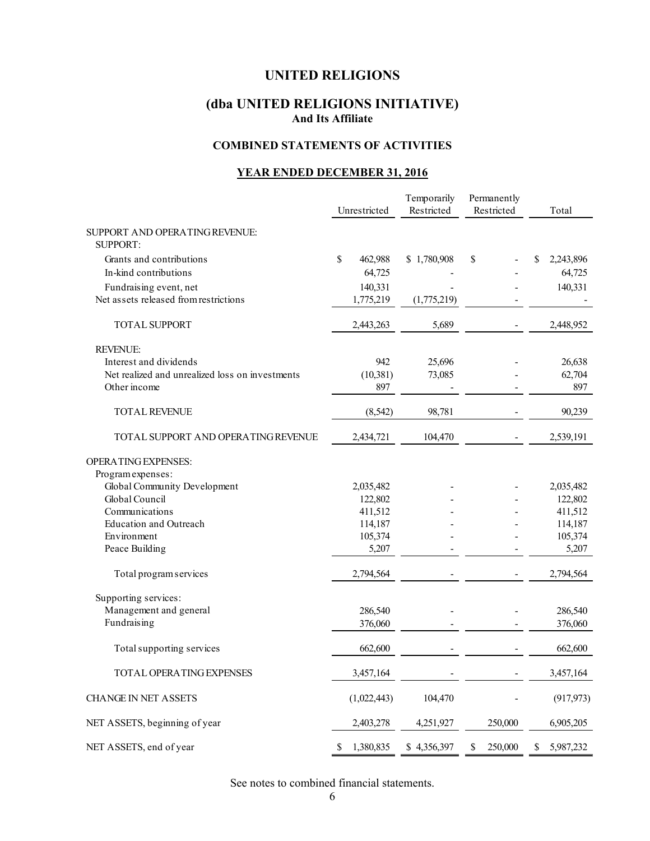## **UNITED RELIGIONS**

## **(dba UNITED RELIGIONS INITIATIVE) And Its Affiliate**

### **COMBINED STATEMENTS OF ACTIVITIES**

#### **YEAR ENDED DECEMBER 31, 2016**

| Temporarily<br>Unrestricted<br>Restricted         |                 | Permanently<br>Restricted | Total                    |                 |
|---------------------------------------------------|-----------------|---------------------------|--------------------------|-----------------|
| SUPPORT AND OPERATING REVENUE:<br><b>SUPPORT:</b> |                 |                           |                          |                 |
| Grants and contributions                          | \$<br>462,988   | \$1,780,908               | \$                       | \$<br>2,243,896 |
| In-kind contributions                             | 64,725          |                           |                          | 64,725          |
| Fundraising event, net                            | 140,331         |                           |                          | 140,331         |
| Net assets released from restrictions             | 1,775,219       | (1,775,219)               |                          |                 |
| <b>TOTAL SUPPORT</b>                              | 2,443,263       | 5,689                     |                          | 2,448,952       |
| <b>REVENUE:</b>                                   |                 |                           |                          |                 |
| Interest and dividends                            | 942             | 25,696                    |                          | 26,638          |
| Net realized and unrealized loss on investments   | (10, 381)       | 73,085                    |                          | 62,704          |
| Other income                                      | 897             |                           |                          | 897             |
| TOTAL REVENUE                                     | (8, 542)        | 98,781                    |                          | 90,239          |
| TOTAL SUPPORT AND OPERATING REVENUE               | 2,434,721       | 104,470                   |                          | 2,539,191       |
| OPERATING EXPENSES:                               |                 |                           |                          |                 |
| Program expenses:                                 |                 |                           |                          |                 |
| Global Community Development                      | 2,035,482       |                           |                          | 2,035,482       |
| Global Council                                    | 122,802         |                           |                          | 122,802         |
| Communications                                    | 411,512         |                           |                          | 411,512         |
| <b>Education and Outreach</b>                     | 114,187         |                           |                          | 114,187         |
| Environment                                       | 105,374         |                           |                          | 105,374         |
| Peace Building                                    | 5,207           |                           |                          | 5,207           |
| Total program services                            | 2,794,564       |                           |                          | 2,794,564       |
| Supporting services:                              |                 |                           |                          |                 |
| Management and general                            | 286,540         |                           |                          | 286,540         |
| Fundraising                                       | 376,060         |                           |                          | 376,060         |
| Total supporting services                         | 662,600         |                           |                          | 662,600         |
| TOTAL OPERATING EXPENSES                          | 3,457,164       |                           | $\overline{\phantom{a}}$ | 3,457,164       |
| <b>CHANGE IN NET ASSETS</b>                       | (1,022,443)     | 104,470                   |                          | (917, 973)      |
| NET ASSETS, beginning of year                     | 2,403,278       | 4,251,927                 | 250,000                  | 6,905,205       |
| NET ASSETS, end of year                           | 1,380,835<br>\$ | \$4,356,397               | 250,000<br>\$            | 5,987,232<br>\$ |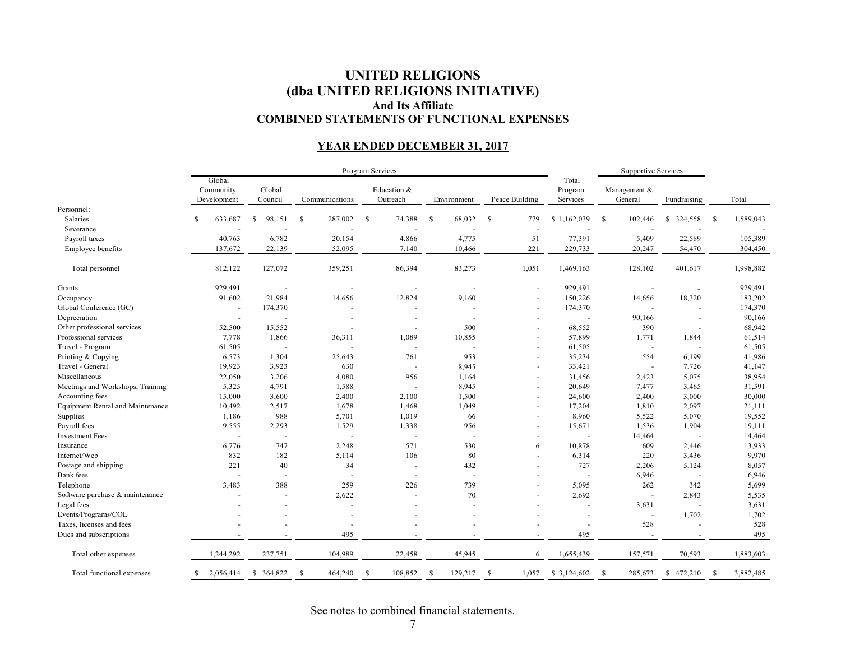### **UNITED RELIGIONS (dba UNITED RELIGIONS INITIATIVE) And Its Affiliate COMBINED STATEMENTS OF FUNCTIONAL EXPENSES**

### **YEAR ENDED DECEMBER 31, 2017**

|                                         |                                    |                   |                | Program Services         |                          |                          |                              | <b>Supportive Services</b> |                |                 |
|-----------------------------------------|------------------------------------|-------------------|----------------|--------------------------|--------------------------|--------------------------|------------------------------|----------------------------|----------------|-----------------|
|                                         | Global<br>Community<br>Development | Global<br>Council | Communications | Education &<br>Outreach  | Environment              | Peace Building           | Total<br>Program<br>Services | Management &<br>General    | Fundraising    | Total           |
| Personnel:                              |                                    |                   |                |                          |                          |                          |                              |                            |                |                 |
| Salaries                                | S<br>633,687                       | 98,151            | 287,002<br>-S  | 74,388<br>-S             | 68,032<br><sup>\$</sup>  | $\mathbb{S}$<br>779      | \$1,162,039                  | <sup>\$</sup><br>102,446   | 324,558<br>S.  | 1,589,043<br>-S |
| Severance                               |                                    |                   |                |                          |                          | $\overline{\phantom{a}}$ |                              |                            |                |                 |
| Payroll taxes                           | 40,763                             | 6,782             | 20,154         | 4,866                    | 4,775                    | 51                       | 77,391                       | 5,409                      | 22,589         | 105,389         |
| Employee benefits                       | 137,672                            | 22,139            | 52,095         | 7,140                    | 10,466                   | 221                      | 229,733                      | 20,247                     | 54,470         | 304,450         |
| Total personnel                         | 812,122                            | 127,072           | 359,251        | 86,394                   | 83,273                   | 1,051                    | 1,469,163                    | 128,102                    | 401,617        | 1,998,882       |
| Grants                                  | 929,491                            |                   |                |                          |                          | $\overline{\phantom{a}}$ | 929,491                      |                            |                | 929,491         |
| Occupancy                               | 91,602                             | 21,984            | 14,656         | 12,824                   | 9,160                    | $\sim$                   | 150,226                      | 14,656                     | 18,320         | 183,202         |
| Global Conference (GC)                  | ÷,                                 | 174,370           |                |                          |                          | $\sim$                   | 174,370                      |                            |                | 174,370         |
| Depreciation                            | $\overline{a}$                     |                   |                |                          |                          | $\overline{a}$           |                              | 90,166                     | $\overline{a}$ | 90,166          |
| Other professional services             | 52,500                             | 15,552            |                |                          | 500                      | $\overline{\phantom{a}}$ | 68,552                       | 390                        | $\sim$         | 68,942          |
| Professional services                   | 7,778                              | 1,866             | 36,311         | 1,089                    | 10,855                   | $\sim$                   | 57,899                       | 1,771                      | 1,844          | 61,514          |
| Travel - Program                        | 61,505                             | $\sim$            | ÷.             |                          |                          | $\sim$                   | 61,505                       | $\overline{\phantom{a}}$   | $\sim$         | 61,505          |
| Printing & Copying                      | 6,573                              | 1,304             | 25,643         | 761                      | 953                      | $\sim$                   | 35,234                       | 554                        | 6,199          | 41,986          |
| Travel - General                        | 19,923                             | 3,923             | 630            | $\overline{\phantom{a}}$ | 8,945                    | $\sim$                   | 33,421                       | ÷,                         | 7,726          | 41,147          |
| Miscellaneous                           | 22,050                             | 3,206             | 4,080          | 956                      | 1,164                    | $\sim$                   | 31,456                       | 2,423                      | 5,075          | 38,954          |
| Meetings and Workshops, Training        | 5,325                              | 4,791             | 1,588          |                          | 8,945                    | $\sim$                   | 20,649                       | 7,477                      | 3,465          | 31,591          |
| Accounting fees                         | 15,000                             | 3,600             | 2,400          | 2,100                    | 1,500                    | $\sim$                   | 24,600                       | 2,400                      | 3,000          | 30,000          |
| <b>Equipment Rental and Maintenance</b> | 10,492                             | 2,517             | 1,678          | 1,468                    | 1,049                    | $\sim$                   | 17,204                       | 1,810                      | 2,097          | 21,111          |
| Supplies                                | 1,186                              | 988               | 5,701          | 1,019                    | 66                       | ÷.                       | 8,960                        | 5,522                      | 5,070          | 19,552          |
| Payroll fees                            | 9,555                              | 2,293             | 1,529          | 1,338                    | 956                      | $\overline{\phantom{a}}$ | 15,671                       | 1,536                      | 1,904          | 19,111          |
| <b>Investment Fees</b>                  | $\overline{a}$                     | $\sim$            | $\sim$         | $\ddot{\phantom{1}}$     |                          |                          |                              | 14,464                     | $\overline{a}$ | 14,464          |
| Insurance                               | 6,776                              | 747               | 2,248          | 571                      | 530                      | 6                        | 10,878                       | 609                        | 2,446          | 13,933          |
| Internet/Web                            | 832                                | 182               | 5,114          | 106                      | 80                       |                          | 6,314                        | 220                        | 3,436          | 9,970           |
| Postage and shipping                    | 221                                | 40                | 34             |                          | 432                      | $\sim$                   | 727                          | 2,206                      | 5,124          | 8,057           |
| <b>Bank</b> fees                        |                                    | $\overline{a}$    |                |                          |                          |                          |                              | 6,946                      | $\sim$         | 6,946           |
| Telephone                               | 3,483                              | 388               | 259            | 226                      | 739                      |                          | 5,095                        | 262                        | 342            | 5,699           |
| Software purchase & maintenance         |                                    |                   | 2,622          |                          | 70                       |                          | 2,692                        |                            | 2,843          | 5,535           |
| Legal fees                              |                                    |                   |                |                          |                          |                          |                              | 3,631                      | $\sim$         | 3,631           |
| Events/Programs/COL                     |                                    |                   |                |                          |                          |                          |                              | ÷,                         | 1,702          | 1,702           |
| Taxes, licenses and fees                |                                    |                   |                |                          |                          |                          |                              | 528                        |                | 528             |
| Dues and subscriptions                  |                                    |                   | 495            |                          |                          |                          | 495                          |                            |                | 495             |
| Total other expenses                    | 1,244,292                          | 237,751           | 104,989        | 22,458                   | 45,945                   | 6                        | 1,655,439                    | 157,571                    | 70,593         | 1,883,603       |
| Total functional expenses               | 2,056,414<br>S                     | \$ 364,822        | -S<br>464,240  | 108,852<br>-S            | <sup>\$</sup><br>129,217 | -S<br>1,057              | \$3,124,602                  | 285,673<br><sup>\$</sup>   | \$472,210      | 3,882,485<br>-S |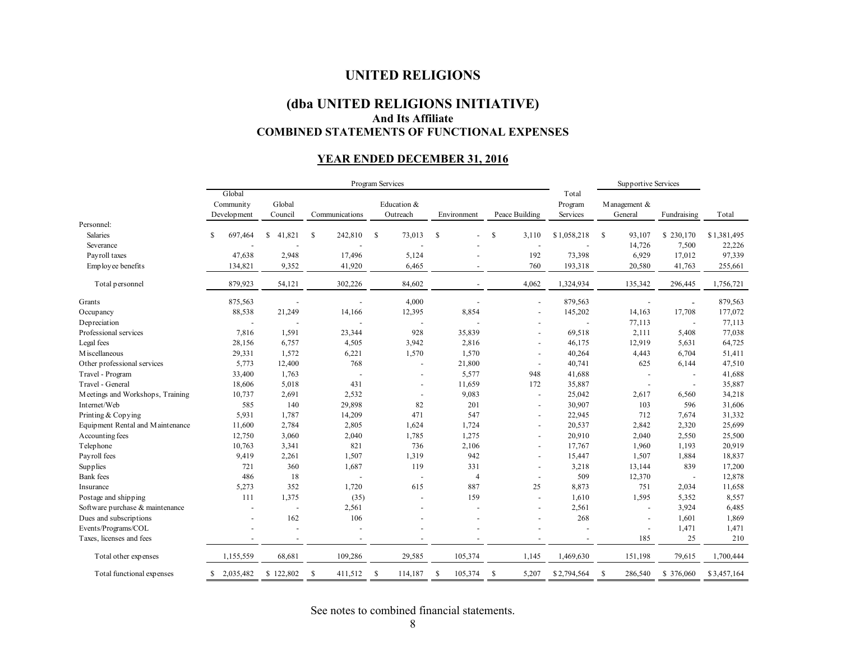#### **UNITED RELIGIONS**

## **(dba UNITED RELIGIONS INITIATIVE) And Its Affiliate COMBINED STATEMENTS OF FUNCTIONAL EXPENSES**

### **YEAR ENDED DECEMBER 31, 2016**

|                                  | Program Services                   |                   |                          |                          |                | Supportive Services      |                              |                          |                |             |
|----------------------------------|------------------------------------|-------------------|--------------------------|--------------------------|----------------|--------------------------|------------------------------|--------------------------|----------------|-------------|
|                                  | Global<br>Community<br>Development | Global<br>Council | Communications           | Education &<br>Outreach  | Environment    | Peace Building           | Total<br>Program<br>Services | Management &<br>General  | Fundraising    | Total       |
| Personnel:                       |                                    |                   |                          |                          |                |                          |                              |                          |                |             |
| Salaries                         | 697,464<br>\$                      | 41,821<br>\$      | 242,810<br><sup>\$</sup> | \$<br>73,013             | \$             | <sup>\$</sup><br>3,110   | \$1,058,218                  | <sup>\$</sup><br>93,107  | \$230,170      | \$1,381,495 |
| Severance                        |                                    |                   |                          |                          |                |                          |                              | 14,726                   | 7,500          | 22,226      |
| Payroll taxes                    | 47,638                             | 2,948             | 17,496                   | 5,124                    |                | 192                      | 73,398                       | 6,929                    | 17,012         | 97,339      |
| Employee benefits                | 134,821                            | 9,352             | 41,920                   | 6,465                    |                | 760                      | 193,318                      | 20,580                   | 41,763         | 255,661     |
| Total personnel                  | 879,923                            | 54,121            | 302,226                  | 84,602                   |                | 4,062                    | 1,324,934                    | 135,342                  | 296,445        | 1,756,721   |
| Grants                           | 875,563                            |                   |                          | 4,000                    |                |                          | 879,563                      |                          | ä,             | 879,563     |
| Occupancy                        | 88,538                             | 21,249            | 14,166                   | 12,395                   | 8,854          |                          | 145,202                      | 14,163                   | 17,708         | 177,072     |
| Depreciation                     |                                    |                   |                          |                          |                |                          | $\sim$                       | 77,113                   | $\sim$         | 77,113      |
| Professional services            | 7,816                              | 1,591             | 23,344                   | 928                      | 35,839         |                          | 69,518                       | 2,111                    | 5,408          | 77,038      |
| Legal fees                       | 28,156                             | 6,757             | 4,505                    | 3,942                    | 2,816          |                          | 46,175                       | 12,919                   | 5,631          | 64,725      |
| M iscellaneous                   | 29,331                             | 1,572             | 6,221                    | 1,570                    | 1,570          |                          | 40,264                       | 4,443                    | 6,704          | 51,411      |
| Other professional services      | 5,773                              | 12,400            | 768                      |                          | 21,800         | $\blacksquare$           | 40,741                       | 625                      | 6,144          | 47,510      |
| Travel - Program                 | 33,400                             | 1,763             | L,                       |                          | 5,577          | 948                      | 41,688                       | $\blacksquare$           | $\blacksquare$ | 41,688      |
| Travel - General                 | 18,606                             | 5,018             | 431                      |                          | 11,659         | 172                      | 35,887                       | $\blacksquare$           | $\blacksquare$ | 35,887      |
| Meetings and Workshops, Training | 10,737                             | 2,691             | 2,532                    | $\overline{\phantom{a}}$ | 9,083          | $\overline{\phantom{a}}$ | 25,042                       | 2,617                    | 6,560          | 34,218      |
| Internet/Web                     | 585                                | 140               | 29,898                   | 82                       | 201            | $\overline{\phantom{a}}$ | 30,907                       | 103                      | 596            | 31,606      |
| Printing & Copying               | 5,931                              | 1,787             | 14,209                   | 471                      | 547            |                          | 22,945                       | 712                      | 7,674          | 31,332      |
| Equipment Rental and Maintenance | 11,600                             | 2,784             | 2,805                    | 1,624                    | 1,724          |                          | 20,537                       | 2,842                    | 2,320          | 25,699      |
| Accounting fees                  | 12,750                             | 3,060             | 2,040                    | 1,785                    | 1,275          |                          | 20,910                       | 2,040                    | 2,550          | 25,500      |
| Telephone                        | 10,763                             | 3,341             | 821                      | 736                      | 2,106          |                          | 17,767                       | 1,960                    | 1,193          | 20,919      |
| Payroll fees                     | 9,419                              | 2,261             | 1,507                    | 1,319                    | 942            |                          | 15,447                       | 1,507                    | 1,884          | 18,837      |
| Supplies                         | 721                                | 360               | 1,687                    | 119                      | 331            |                          | 3,218                        | 13,144                   | 839            | 17,200      |
| <b>Bank</b> fees                 | 486                                | 18                | $\overline{a}$           | $\overline{a}$           | $\overline{4}$ | $\overline{\phantom{a}}$ | 509                          | 12,370                   | $\sim$         | 12,878      |
| Insurance                        | 5,273                              | 352               | 1,720                    | 615                      | 887            | 25                       | 8,873                        | 751                      | 2,034          | 11,658      |
| Postage and shipping             | 111                                | 1,375             | (35)                     |                          | 159            | $\overline{\phantom{a}}$ | 1,610                        | 1,595                    | 5,352          | 8,557       |
| Software purchase & maintenance  |                                    |                   | 2,561                    |                          |                |                          | 2,561                        | $\overline{a}$           | 3,924          | 6,485       |
| Dues and subscriptions           |                                    | 162               | 106                      |                          |                |                          | 268                          | $\overline{\phantom{a}}$ | 1,601          | 1,869       |
| Events/Programs/COL              |                                    |                   |                          |                          |                |                          |                              |                          | 1,471          | 1,471       |
| Taxes, licenses and fees         |                                    |                   |                          |                          |                |                          |                              | 185                      | 25             | 210         |
| Total other expenses             | 1,155,559                          | 68,681            | 109,286                  | 29,585                   | 105,374        | 1,145                    | 1,469,630                    | 151,198                  | 79,615         | 1,700,444   |
| Total functional expenses        | \$2,035,482                        | \$122,802         | 411,512<br><sup>\$</sup> | <sup>\$</sup><br>114,187 | 105,374<br>-S  | <sup>\$</sup><br>5,207   | \$2,794,564                  | 286,540<br>S             | \$ 376,060     | \$3,457,164 |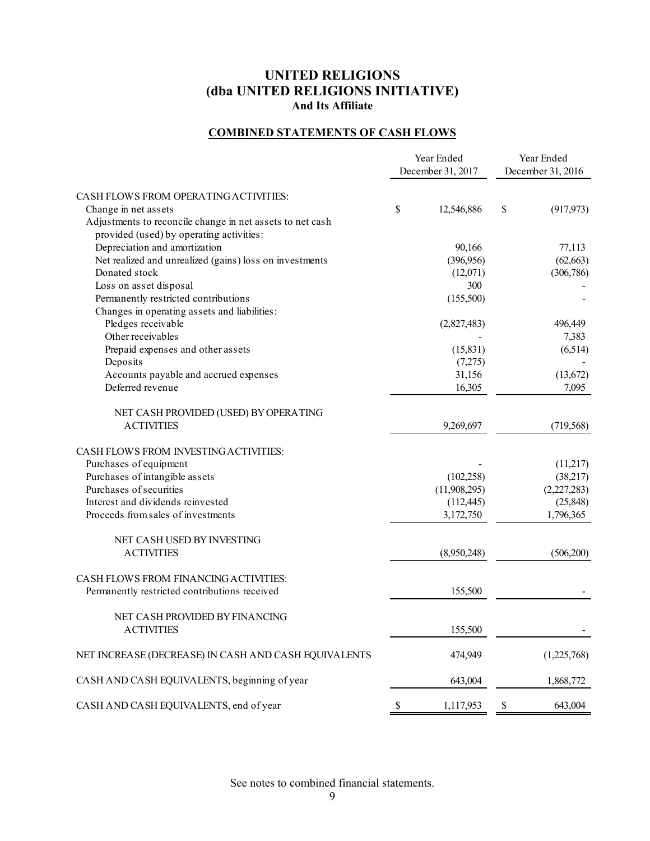## **COMBINED STATEMENTS OF CASH FLOWS**

|                                                           | Year Ended<br>December 31, 2017 |              | Year Ended<br>December 31, 2016 |             |
|-----------------------------------------------------------|---------------------------------|--------------|---------------------------------|-------------|
| CASH FLOWS FROM OPERATING ACTIVITIES:                     |                                 |              |                                 |             |
| Change in net assets                                      | \$                              | 12,546,886   | $\$$                            | (917, 973)  |
| Adjustments to reconcile change in net assets to net cash |                                 |              |                                 |             |
| provided (used) by operating activities:                  |                                 |              |                                 |             |
| Depreciation and amortization                             |                                 | 90,166       |                                 | 77,113      |
| Net realized and unrealized (gains) loss on investments   |                                 | (396,956)    |                                 | (62, 663)   |
| Donated stock                                             |                                 | (12,071)     |                                 | (306, 786)  |
| Loss on asset disposal                                    |                                 | 300          |                                 |             |
| Permanently restricted contributions                      |                                 | (155,500)    |                                 |             |
| Changes in operating assets and liabilities:              |                                 |              |                                 |             |
| Pledges receivable                                        |                                 | (2,827,483)  |                                 | 496,449     |
| Other receivables                                         |                                 |              |                                 | 7,383       |
| Prepaid expenses and other assets                         |                                 | (15, 831)    |                                 | (6,514)     |
| Deposits                                                  |                                 | (7,275)      |                                 |             |
| Accounts payable and accrued expenses                     |                                 | 31,156       |                                 | (13,672)    |
| Deferred revenue                                          |                                 | 16,305       |                                 | 7,095       |
|                                                           |                                 |              |                                 |             |
| NET CASH PROVIDED (USED) BY OPERATING                     |                                 |              |                                 |             |
| <b>ACTIVITIES</b>                                         |                                 | 9,269,697    |                                 | (719, 568)  |
|                                                           |                                 |              |                                 |             |
| CASH FLOWS FROM INVESTING ACTIVITIES:                     |                                 |              |                                 |             |
| Purchases of equipment                                    |                                 |              |                                 | (11,217)    |
| Purchases of intangible assets                            |                                 | (102, 258)   |                                 | (38,217)    |
| Purchases of securities                                   |                                 | (11,908,295) |                                 | (2,227,283) |
| Interest and dividends reinvested                         |                                 | (112, 445)   |                                 | (25, 848)   |
| Proceeds from sales of investments                        |                                 | 3,172,750    |                                 | 1,796,365   |
|                                                           |                                 |              |                                 |             |
| NET CASH USED BY INVESTING                                |                                 |              |                                 |             |
| <b>ACTIVITIES</b>                                         |                                 | (8,950,248)  |                                 | (506,200)   |
|                                                           |                                 |              |                                 |             |
| CASH FLOWS FROM FINANCING ACTIVITIES:                     |                                 |              |                                 |             |
| Permanently restricted contributions received             |                                 | 155,500      |                                 |             |
|                                                           |                                 |              |                                 |             |
| NET CASH PROVIDED BY FINANCING                            |                                 |              |                                 |             |
| <b>ACTIVITIES</b>                                         |                                 | 155,500      |                                 |             |
|                                                           |                                 |              |                                 |             |
| NET INCREASE (DECREASE) IN CASH AND CASH EQUIVALENTS      |                                 | 474,949      |                                 | (1,225,768) |
|                                                           |                                 |              |                                 |             |
| CASH AND CASH EQUIVALENTS, beginning of year              |                                 | 643,004      |                                 | 1,868,772   |
|                                                           |                                 |              |                                 |             |
| CASH AND CASH EQUIVALENTS, end of year                    | \$                              | 1,117,953    | $\mathbb{S}$                    | 643,004     |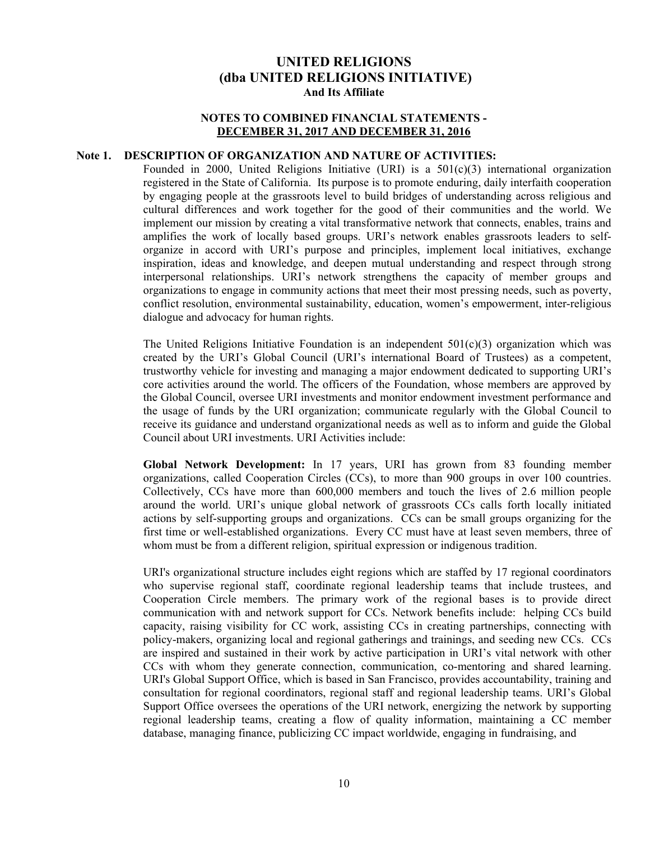#### **NOTES TO COMBINED FINANCIAL STATEMENTS - DECEMBER 31, 2017 AND DECEMBER 31, 2016**

### **Note 1. DESCRIPTION OF ORGANIZATION AND NATURE OF ACTIVITIES:**

Founded in 2000, United Religions Initiative (URI) is a 501(c)(3) international organization registered in the State of California. Its purpose is to promote enduring, daily interfaith cooperation by engaging people at the grassroots level to build bridges of understanding across religious and cultural differences and work together for the good of their communities and the world. We implement our mission by creating a vital transformative network that connects, enables, trains and amplifies the work of locally based groups. URI's network enables grassroots leaders to selforganize in accord with URI's purpose and principles, implement local initiatives, exchange inspiration, ideas and knowledge, and deepen mutual understanding and respect through strong interpersonal relationships. URI's network strengthens the capacity of member groups and organizations to engage in community actions that meet their most pressing needs, such as poverty, conflict resolution, environmental sustainability, education, women's empowerment, inter-religious dialogue and advocacy for human rights.

The United Religions Initiative Foundation is an independent  $501(c)(3)$  organization which was created by the URI's Global Council (URI's international Board of Trustees) as a competent, trustworthy vehicle for investing and managing a major endowment dedicated to supporting URI's core activities around the world. The officers of the Foundation, whose members are approved by the Global Council, oversee URI investments and monitor endowment investment performance and the usage of funds by the URI organization; communicate regularly with the Global Council to receive its guidance and understand organizational needs as well as to inform and guide the Global Council about URI investments. URI Activities include:

**Global Network Development:** In 17 years, URI has grown from 83 founding member organizations, called Cooperation Circles (CCs), to more than 900 groups in over 100 countries. Collectively, CCs have more than 600,000 members and touch the lives of 2.6 million people around the world. URI's unique global network of grassroots CCs calls forth locally initiated actions by self-supporting groups and organizations. CCs can be small groups organizing for the first time or well-established organizations. Every CC must have at least seven members, three of whom must be from a different religion, spiritual expression or indigenous tradition.

URI's organizational structure includes eight regions which are staffed by 17 regional coordinators who supervise regional staff, coordinate regional leadership teams that include trustees, and Cooperation Circle members. The primary work of the regional bases is to provide direct communication with and network support for CCs. Network benefits include: helping CCs build capacity, raising visibility for CC work, assisting CCs in creating partnerships, connecting with policy-makers, organizing local and regional gatherings and trainings, and seeding new CCs. CCs are inspired and sustained in their work by active participation in URI's vital network with other CCs with whom they generate connection, communication, co-mentoring and shared learning. URI's Global Support Office, which is based in San Francisco, provides accountability, training and consultation for regional coordinators, regional staff and regional leadership teams. URI's Global Support Office oversees the operations of the URI network, energizing the network by supporting regional leadership teams, creating a flow of quality information, maintaining a CC member database, managing finance, publicizing CC impact worldwide, engaging in fundraising, and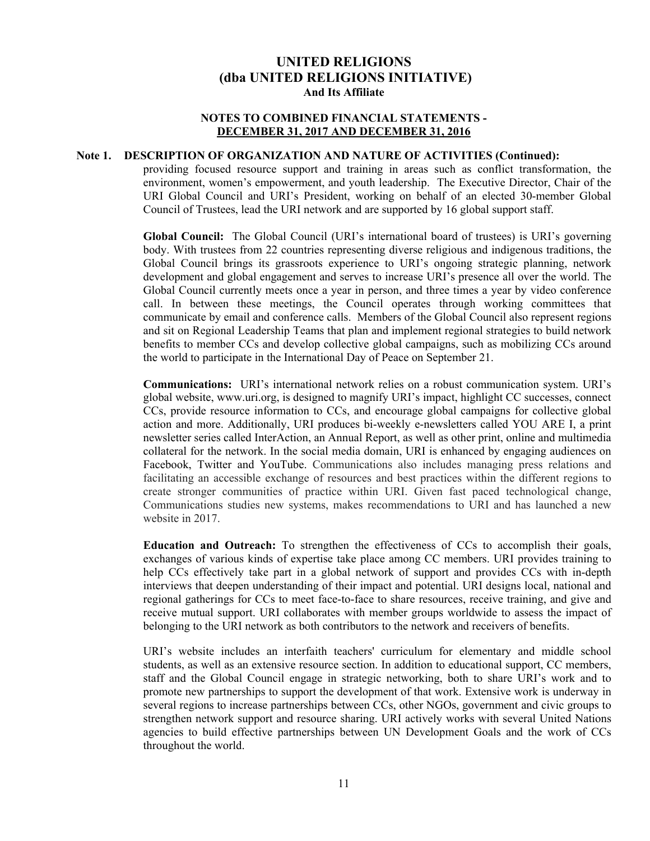#### **NOTES TO COMBINED FINANCIAL STATEMENTS - DECEMBER 31, 2017 AND DECEMBER 31, 2016**

### **Note 1. DESCRIPTION OF ORGANIZATION AND NATURE OF ACTIVITIES (Continued):**

providing focused resource support and training in areas such as conflict transformation, the environment, women's empowerment, and youth leadership. The Executive Director, Chair of the URI Global Council and URI's President, working on behalf of an elected 30-member Global Council of Trustees, lead the URI network and are supported by 16 global support staff.

**Global Council:** The Global Council (URI's international board of trustees) is URI's governing body. With trustees from 22 countries representing diverse religious and indigenous traditions, the Global Council brings its grassroots experience to URI's ongoing strategic planning, network development and global engagement and serves to increase URI's presence all over the world. The Global Council currently meets once a year in person, and three times a year by video conference call. In between these meetings, the Council operates through working committees that communicate by email and conference calls. Members of the Global Council also represent regions and sit on Regional Leadership Teams that plan and implement regional strategies to build network benefits to member CCs and develop collective global campaigns, such as mobilizing CCs around the world to participate in the International Day of Peace on September 21.

**Communications:** URI's international network relies on a robust communication system. URI's global website, www.uri.org, is designed to magnify URI's impact, highlight CC successes, connect CCs, provide resource information to CCs, and encourage global campaigns for collective global action and more. Additionally, URI produces bi-weekly e-newsletters called YOU ARE I, a print newsletter series called InterAction, an Annual Report, as well as other print, online and multimedia collateral for the network. In the social media domain, URI is enhanced by engaging audiences on Facebook, Twitter and YouTube. Communications also includes managing press relations and facilitating an accessible exchange of resources and best practices within the different regions to create stronger communities of practice within URI. Given fast paced technological change, Communications studies new systems, makes recommendations to URI and has launched a new website in 2017.

**Education and Outreach:** To strengthen the effectiveness of CCs to accomplish their goals, exchanges of various kinds of expertise take place among CC members. URI provides training to help CCs effectively take part in a global network of support and provides CCs with in-depth interviews that deepen understanding of their impact and potential. URI designs local, national and regional gatherings for CCs to meet face-to-face to share resources, receive training, and give and receive mutual support. URI collaborates with member groups worldwide to assess the impact of belonging to the URI network as both contributors to the network and receivers of benefits.

URI's website includes an interfaith teachers' curriculum for elementary and middle school students, as well as an extensive resource section. In addition to educational support, CC members, staff and the Global Council engage in strategic networking, both to share URI's work and to promote new partnerships to support the development of that work. Extensive work is underway in several regions to increase partnerships between CCs, other NGOs, government and civic groups to strengthen network support and resource sharing. URI actively works with several United Nations agencies to build effective partnerships between UN Development Goals and the work of CCs throughout the world.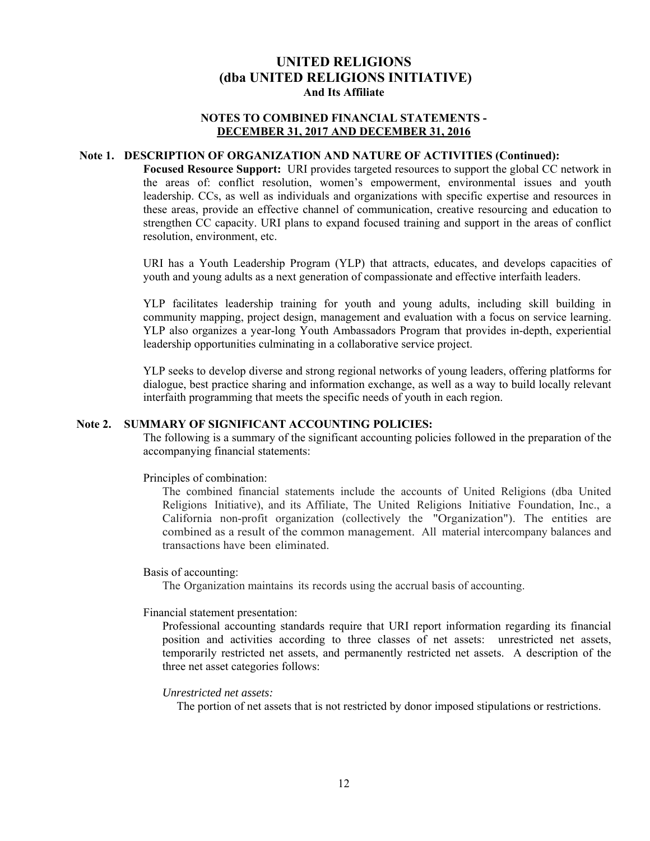### **NOTES TO COMBINED FINANCIAL STATEMENTS - DECEMBER 31, 2017 AND DECEMBER 31, 2016**

#### **Note 1. DESCRIPTION OF ORGANIZATION AND NATURE OF ACTIVITIES (Continued):**

**Focused Resource Support:** URI provides targeted resources to support the global CC network in the areas of: conflict resolution, women's empowerment, environmental issues and youth leadership. CCs, as well as individuals and organizations with specific expertise and resources in these areas, provide an effective channel of communication, creative resourcing and education to strengthen CC capacity. URI plans to expand focused training and support in the areas of conflict resolution, environment, etc.

URI has a Youth Leadership Program (YLP) that attracts, educates, and develops capacities of youth and young adults as a next generation of compassionate and effective interfaith leaders.

YLP facilitates leadership training for youth and young adults, including skill building in community mapping, project design, management and evaluation with a focus on service learning. YLP also organizes a year-long Youth Ambassadors Program that provides in-depth, experiential leadership opportunities culminating in a collaborative service project.

YLP seeks to develop diverse and strong regional networks of young leaders, offering platforms for dialogue, best practice sharing and information exchange, as well as a way to build locally relevant interfaith programming that meets the specific needs of youth in each region.

### **Note 2. SUMMARY OF SIGNIFICANT ACCOUNTING POLICIES:**

The following is a summary of the significant accounting policies followed in the preparation of the accompanying financial statements:

Principles of combination:

The combined financial statements include the accounts of United Religions (dba United Religions Initiative), and its Affiliate, The United Religions Initiative Foundation, Inc., a California non-profit organization (collectively the "Organization"). The entities are combined as a result of the common management. All material intercompany balances and transactions have been eliminated.

Basis of accounting:

The Organization maintains its records using the accrual basis of accounting.

Financial statement presentation:

Professional accounting standards require that URI report information regarding its financial position and activities according to three classes of net assets: unrestricted net assets, temporarily restricted net assets, and permanently restricted net assets. A description of the three net asset categories follows:

#### *Unrestricted net assets:*

The portion of net assets that is not restricted by donor imposed stipulations or restrictions.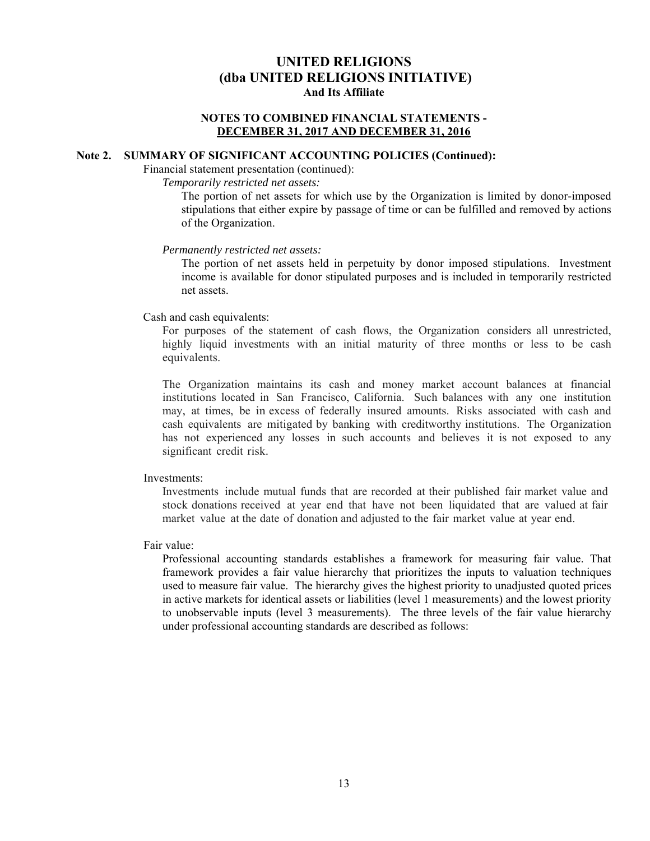#### **NOTES TO COMBINED FINANCIAL STATEMENTS - DECEMBER 31, 2017 AND DECEMBER 31, 2016**

#### **Note 2. SUMMARY OF SIGNIFICANT ACCOUNTING POLICIES (Continued):**

Financial statement presentation (continued):

*Temporarily restricted net assets:* 

The portion of net assets for which use by the Organization is limited by donor-imposed stipulations that either expire by passage of time or can be fulfilled and removed by actions of the Organization.

#### *Permanently restricted net assets:*

The portion of net assets held in perpetuity by donor imposed stipulations. Investment income is available for donor stipulated purposes and is included in temporarily restricted net assets.

#### Cash and cash equivalents:

For purposes of the statement of cash flows, the Organization considers all unrestricted, highly liquid investments with an initial maturity of three months or less to be cash equivalents.

The Organization maintains its cash and money market account balances at financial institutions located in San Francisco, California. Such balances with any one institution may, at times, be in excess of federally insured amounts. Risks associated with cash and cash equivalents are mitigated by banking with creditworthy institutions. The Organization has not experienced any losses in such accounts and believes it is not exposed to any significant credit risk.

#### Investments:

Investments include mutual funds that are recorded at their published fair market value and stock donations received at year end that have not been liquidated that are valued at fair market value at the date of donation and adjusted to the fair market value at year end.

#### Fair value:

Professional accounting standards establishes a framework for measuring fair value. That framework provides a fair value hierarchy that prioritizes the inputs to valuation techniques used to measure fair value. The hierarchy gives the highest priority to unadjusted quoted prices in active markets for identical assets or liabilities (level 1 measurements) and the lowest priority to unobservable inputs (level 3 measurements). The three levels of the fair value hierarchy under professional accounting standards are described as follows: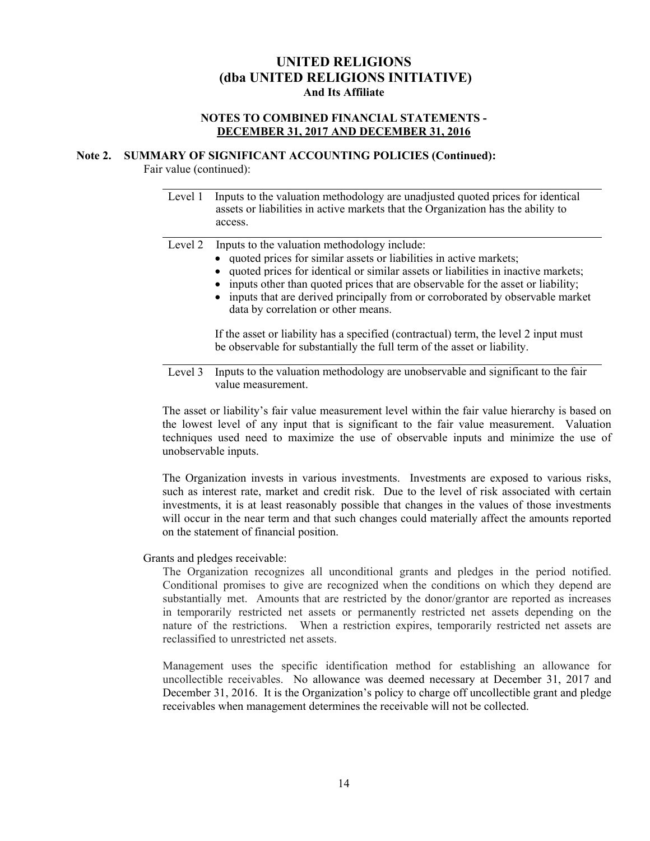### **NOTES TO COMBINED FINANCIAL STATEMENTS - DECEMBER 31, 2017 AND DECEMBER 31, 2016**

#### **Note 2. SUMMARY OF SIGNIFICANT ACCOUNTING POLICIES (Continued):**

Fair value (continued):

 $\overline{a}$ 

Level 1 Inputs to the valuation methodology are unadjusted quoted prices for identical assets or liabilities in active markets that the Organization has the ability to access.

Level 2 Inputs to the valuation methodology include:

- quoted prices for similar assets or liabilities in active markets;
- quoted prices for identical or similar assets or liabilities in inactive markets;
- inputs other than quoted prices that are observable for the asset or liability;
- inputs that are derived principally from or corroborated by observable market data by correlation or other means.

 If the asset or liability has a specified (contractual) term, the level 2 input must be observable for substantially the full term of the asset or liability.

Level 3 Inputs to the valuation methodology are unobservable and significant to the fair value measurement.

The asset or liability's fair value measurement level within the fair value hierarchy is based on the lowest level of any input that is significant to the fair value measurement. Valuation techniques used need to maximize the use of observable inputs and minimize the use of unobservable inputs.

The Organization invests in various investments. Investments are exposed to various risks, such as interest rate, market and credit risk. Due to the level of risk associated with certain investments, it is at least reasonably possible that changes in the values of those investments will occur in the near term and that such changes could materially affect the amounts reported on the statement of financial position.

Grants and pledges receivable:

The Organization recognizes all unconditional grants and pledges in the period notified. Conditional promises to give are recognized when the conditions on which they depend are substantially met. Amounts that are restricted by the donor/grantor are reported as increases in temporarily restricted net assets or permanently restricted net assets depending on the nature of the restrictions. When a restriction expires, temporarily restricted net assets are reclassified to unrestricted net assets.

Management uses the specific identification method for establishing an allowance for uncollectible receivables. No allowance was deemed necessary at December 31, 2017 and December 31, 2016. It is the Organization's policy to charge off uncollectible grant and pledge receivables when management determines the receivable will not be collected.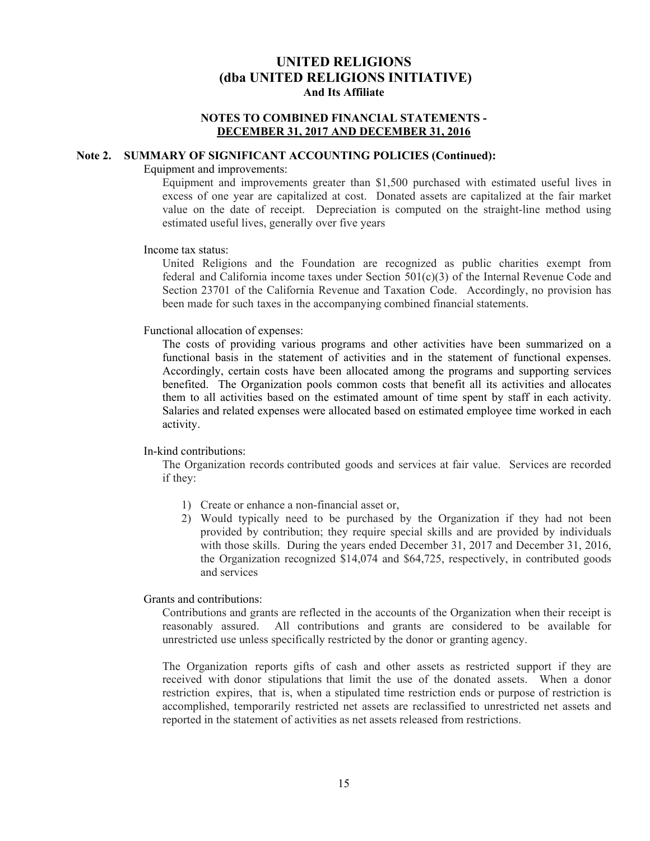#### **NOTES TO COMBINED FINANCIAL STATEMENTS - DECEMBER 31, 2017 AND DECEMBER 31, 2016**

## **Note 2. SUMMARY OF SIGNIFICANT ACCOUNTING POLICIES (Continued):**

#### Equipment and improvements:

Equipment and improvements greater than \$1,500 purchased with estimated useful lives in excess of one year are capitalized at cost. Donated assets are capitalized at the fair market value on the date of receipt. Depreciation is computed on the straight-line method using estimated useful lives, generally over five years

#### Income tax status:

United Religions and the Foundation are recognized as public charities exempt from federal and California income taxes under Section  $501(c)(3)$  of the Internal Revenue Code and Section 23701 of the California Revenue and Taxation Code. Accordingly, no provision has been made for such taxes in the accompanying combined financial statements.

#### Functional allocation of expenses:

The costs of providing various programs and other activities have been summarized on a functional basis in the statement of activities and in the statement of functional expenses. Accordingly, certain costs have been allocated among the programs and supporting services benefited. The Organization pools common costs that benefit all its activities and allocates them to all activities based on the estimated amount of time spent by staff in each activity. Salaries and related expenses were allocated based on estimated employee time worked in each activity.

#### In-kind contributions:

The Organization records contributed goods and services at fair value. Services are recorded if they:

- 1) Create or enhance a non-financial asset or,
- 2) Would typically need to be purchased by the Organization if they had not been provided by contribution; they require special skills and are provided by individuals with those skills. During the years ended December 31, 2017 and December 31, 2016, the Organization recognized \$14,074 and \$64,725, respectively, in contributed goods and services

Grants and contributions:

Contributions and grants are reflected in the accounts of the Organization when their receipt is reasonably assured. All contributions and grants are considered to be available for unrestricted use unless specifically restricted by the donor or granting agency.

The Organization reports gifts of cash and other assets as restricted support if they are received with donor stipulations that limit the use of the donated assets. When a donor restriction expires, that is, when a stipulated time restriction ends or purpose of restriction is accomplished, temporarily restricted net assets are reclassified to unrestricted net assets and reported in the statement of activities as net assets released from restrictions.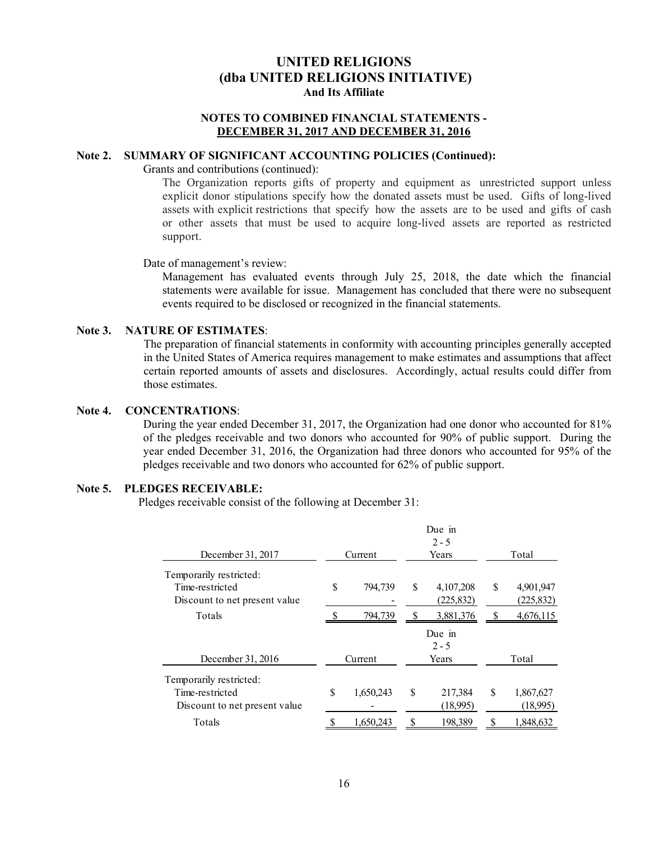### **NOTES TO COMBINED FINANCIAL STATEMENTS - DECEMBER 31, 2017 AND DECEMBER 31, 2016**

### **Note 2. SUMMARY OF SIGNIFICANT ACCOUNTING POLICIES (Continued):**

Grants and contributions (continued):

The Organization reports gifts of property and equipment as unrestricted support unless explicit donor stipulations specify how the donated assets must be used. Gifts of long-lived assets with explicit restrictions that specify how the assets are to be used and gifts of cash or other assets that must be used to acquire long-lived assets are reported as restricted support.

Date of management's review:

Management has evaluated events through July 25, 2018, the date which the financial statements were available for issue. Management has concluded that there were no subsequent events required to be disclosed or recognized in the financial statements.

#### **Note 3. NATURE OF ESTIMATES**:

The preparation of financial statements in conformity with accounting principles generally accepted in the United States of America requires management to make estimates and assumptions that affect certain reported amounts of assets and disclosures. Accordingly, actual results could differ from those estimates.

#### **Note 4. CONCENTRATIONS**:

During the year ended December 31, 2017, the Organization had one donor who accounted for 81% of the pledges receivable and two donors who accounted for 90% of public support. During the year ended December 31, 2016, the Organization had three donors who accounted for 95% of the pledges receivable and two donors who accounted for 62% of public support.

#### **Note 5. PLEDGES RECEIVABLE:**

Pledges receivable consist of the following at December 31:

|                               |   |           | Due in<br>$2 - 5$ |    |            |  |
|-------------------------------|---|-----------|-------------------|----|------------|--|
| December 31, 2017             |   | Current   | Years             |    | Total      |  |
| Temporarily restricted:       |   |           |                   |    |            |  |
| Time-restricted               | S | 794,739   | \$<br>4, 107, 208 | \$ | 4,901,947  |  |
| Discount to net present value |   |           | (225, 832)        |    | (225, 832) |  |
| Totals                        |   | 794,739   | 3,881,376         |    | 4,676,115  |  |
|                               |   |           | Due in            |    |            |  |
|                               |   |           | $2 - 5$           |    |            |  |
| December 31, 2016             |   | Current   | Years             |    | Total      |  |
| Temporarily restricted:       |   |           |                   |    |            |  |
| Time-restricted               | S | 1,650,243 | \$<br>217,384     | S  | 1,867,627  |  |
| Discount to net present value |   |           | (18,995)          |    | (18,995)   |  |
| Totals                        |   | 1.650.243 | 198,389           |    | 1.848.632  |  |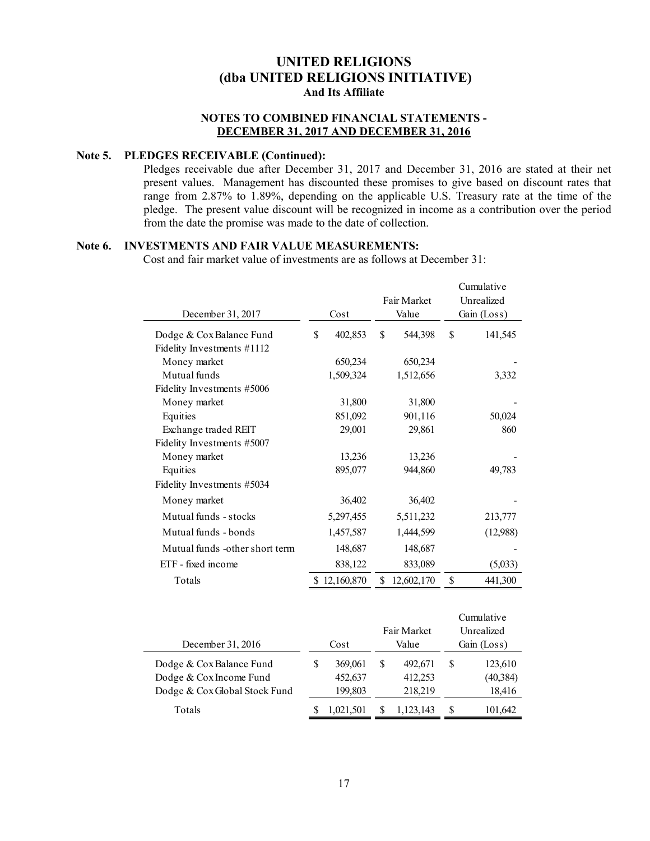### **NOTES TO COMBINED FINANCIAL STATEMENTS - DECEMBER 31, 2017 AND DECEMBER 31, 2016**

## **Note 5. PLEDGES RECEIVABLE (Continued):**

Pledges receivable due after December 31, 2017 and December 31, 2016 are stated at their net present values. Management has discounted these promises to give based on discount rates that range from 2.87% to 1.89%, depending on the applicable U.S. Treasury rate at the time of the pledge. The present value discount will be recognized in income as a contribution over the period from the date the promise was made to the date of collection.

## **Note 6. INVESTMENTS AND FAIR VALUE MEASUREMENTS:**

Cost and fair market value of investments are as follows at December 31:

|                                |               | Fair Market      |    | Cumulative<br>Unrealized |
|--------------------------------|---------------|------------------|----|--------------------------|
| December 31, 2017              | Cost          | Value            |    | Gain (Loss)              |
| Dodge & Cox Balance Fund       | \$<br>402,853 | \$<br>544,398    | \$ | 141,545                  |
| Fidelity Investments #1112     |               |                  |    |                          |
| Money market                   | 650,234       | 650,234          |    |                          |
| Mutual funds                   | 1,509,324     | 1,512,656        |    | 3,332                    |
| Fidelity Investments #5006     |               |                  |    |                          |
| Money market                   | 31,800        | 31,800           |    |                          |
| Equities                       | 851,092       | 901,116          |    | 50,024                   |
| Exchange traded REIT           | 29,001        | 29,861           |    | 860                      |
| Fidelity Investments #5007     |               |                  |    |                          |
| Money market                   | 13,236        | 13,236           |    |                          |
| Equities                       | 895,077       | 944,860          |    | 49,783                   |
| Fidelity Investments #5034     |               |                  |    |                          |
| Money market                   | 36,402        | 36,402           |    |                          |
| Mutual funds - stocks          | 5,297,455     | 5,511,232        |    | 213,777                  |
| Mutual funds - bonds           | 1,457,587     | 1,444,599        |    | (12,988)                 |
| Mutual funds -other short term | 148,687       | 148,687          |    |                          |
| ETF - fixed income             | 838,122       | 833,089          |    | (5,033)                  |
| Totals                         | \$12,160,870  | \$<br>12,602,170 | S  | 441,300                  |
|                                |               |                  |    |                          |
|                                |               |                  |    | Cumulative               |
|                                |               | Fair Market      |    | Unrealized               |
| December 31, 2016              | Cost          | Value            |    | Gain (Loss)              |

|           |      |           |       | Gain (Loss) |
|-----------|------|-----------|-------|-------------|
| 369,061   |      | 492,671   |       | 123,610     |
| 452,637   |      | 412,253   |       | (40,384)    |
| 199,803   |      | 218,219   |       | 18,416      |
| 1,021,501 |      | 1,123,143 |       | 101,642     |
|           | Cost |           | Value |             |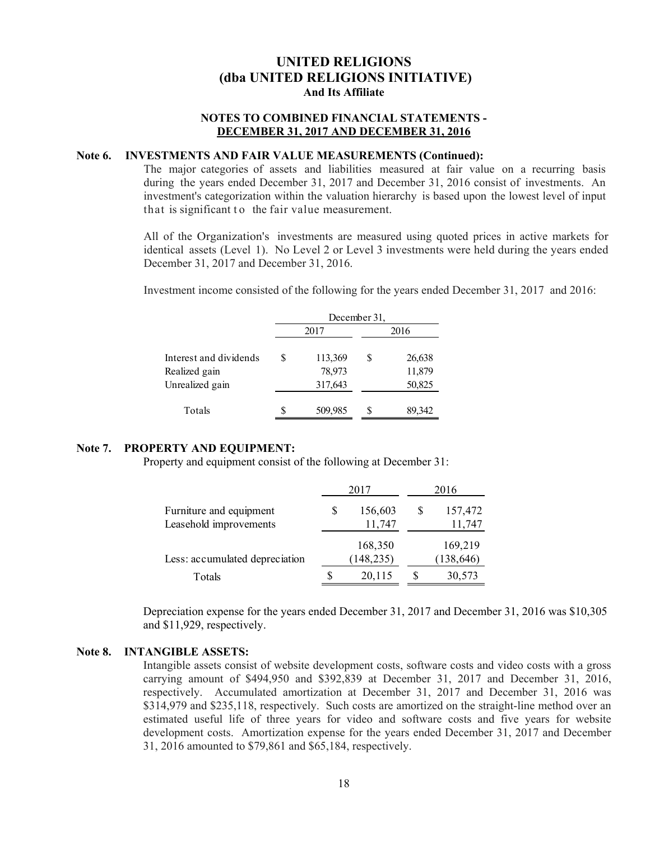#### **NOTES TO COMBINED FINANCIAL STATEMENTS - DECEMBER 31, 2017 AND DECEMBER 31, 2016**

#### **Note 6. INVESTMENTS AND FAIR VALUE MEASUREMENTS (Continued):**

The major categories of assets and liabilities measured at fair value on a recurring basis during the years ended December 31, 2017 and December 31, 2016 consist of investments. An investment's categorization within the valuation hierarchy is based upon the lowest level of input that is significant to the fair value measurement.

All of the Organization's investments are measured using quoted prices in active markets for identical assets (Level 1). No Level 2 or Level 3 investments were held during the years ended December 31, 2017 and December 31, 2016.

Investment income consisted of the following for the years ended December 31, 2017 and 2016:

|                                         | December 31, |                   |   |                  |  |  |  |  |
|-----------------------------------------|--------------|-------------------|---|------------------|--|--|--|--|
|                                         |              | 2017              |   | 2016             |  |  |  |  |
| Interest and dividends<br>Realized gain | S            | 113,369<br>78,973 | S | 26,638<br>11,879 |  |  |  |  |
| Unrealized gain                         |              | 317,643           |   | 50,825           |  |  |  |  |
| Totals                                  | S            | 509,985           |   | 89,342           |  |  |  |  |

#### **Note 7. PROPERTY AND EQUIPMENT:**

Property and equipment consist of the following at December 31:

|                                |   | 2017       | 2016 |            |  |
|--------------------------------|---|------------|------|------------|--|
| Furniture and equipment        | S | 156,603    | S    | 157,472    |  |
| Leasehold improvements         |   | 11,747     |      | 11,747     |  |
|                                |   | 168,350    |      | 169,219    |  |
| Less: accumulated depreciation |   | (148, 235) |      | (138, 646) |  |
| Totals                         | S | 20,115     | S    | 30,573     |  |

Depreciation expense for the years ended December 31, 2017 and December 31, 2016 was \$10,305 and \$11,929, respectively.

#### **Note 8. INTANGIBLE ASSETS:**

Intangible assets consist of website development costs, software costs and video costs with a gross carrying amount of \$494,950 and \$392,839 at December 31, 2017 and December 31, 2016, respectively. Accumulated amortization at December 31, 2017 and December 31, 2016 was \$314,979 and \$235,118, respectively. Such costs are amortized on the straight-line method over an estimated useful life of three years for video and software costs and five years for website development costs. Amortization expense for the years ended December 31, 2017 and December 31, 2016 amounted to \$79,861 and \$65,184, respectively.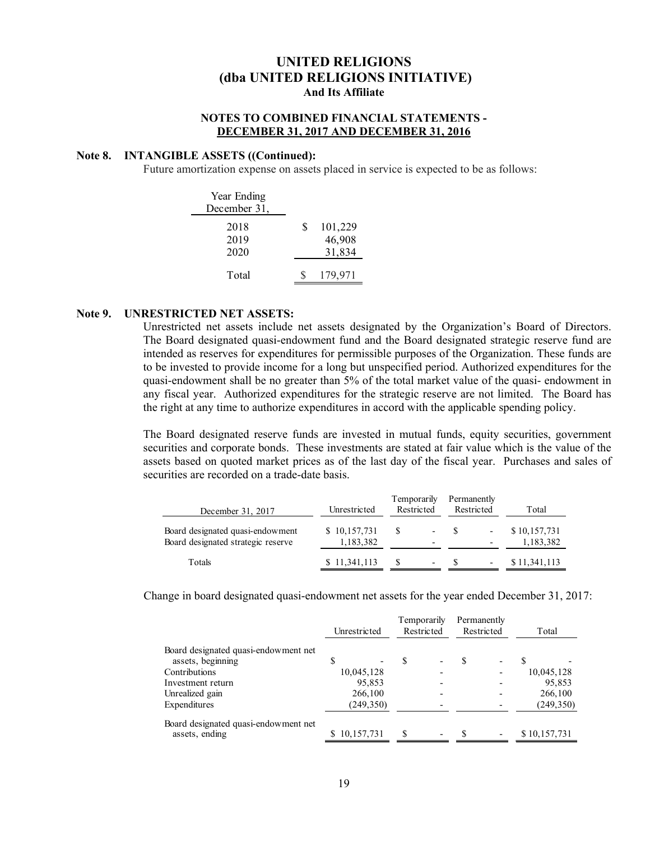### **NOTES TO COMBINED FINANCIAL STATEMENTS - DECEMBER 31, 2017 AND DECEMBER 31, 2016**

#### **Note 8. INTANGIBLE ASSETS ((Continued):**

Future amortization expense on assets placed in service is expected to be as follows:

| Year Ending<br>December 31, |   |                             |
|-----------------------------|---|-----------------------------|
| 2018<br>2019<br>2020        | S | 101,229<br>46,908<br>31,834 |
| Total                       |   | 179,971                     |

#### **Note 9. UNRESTRICTED NET ASSETS:**

Unrestricted net assets include net assets designated by the Organization's Board of Directors. The Board designated quasi-endowment fund and the Board designated strategic reserve fund are intended as reserves for expenditures for permissible purposes of the Organization. These funds are to be invested to provide income for a long but unspecified period. Authorized expenditures for the quasi-endowment shall be no greater than 5% of the total market value of the quasi- endowment in any fiscal year. Authorized expenditures for the strategic reserve are not limited. The Board has the right at any time to authorize expenditures in accord with the applicable spending policy.

The Board designated reserve funds are invested in mutual funds, equity securities, government securities and corporate bonds. These investments are stated at fair value which is the value of the assets based on quoted market prices as of the last day of the fiscal year. Purchases and sales of securities are recorded on a trade-date basis.

| December 31, 2017                                                      | Unrestricted              | Temporarily<br>Restricted |                                                      | Permanently | Restricted | Total                     |
|------------------------------------------------------------------------|---------------------------|---------------------------|------------------------------------------------------|-------------|------------|---------------------------|
| Board designated quasi-endowment<br>Board designated strategic reserve | \$10,157,731<br>1,183,382 | -S                        | $\overline{\phantom{a}}$<br>$\overline{\phantom{0}}$ |             |            | \$10,157,731<br>1,183,382 |
| Totals                                                                 | \$11,341,113              |                           | -                                                    |             |            | \$11,341,113              |

Change in board designated quasi-endowment net assets for the year ended December 31, 2017:

| Unrestricted |  |                                                               | Restricted               |                    | Permanently<br>Restricted |  |                       |
|--------------|--|---------------------------------------------------------------|--------------------------|--------------------|---------------------------|--|-----------------------|
|              |  |                                                               |                          |                    |                           |  |                       |
|              |  |                                                               |                          |                    |                           |  |                       |
|              |  |                                                               | $\overline{\phantom{0}}$ |                    |                           |  | 10,045,128            |
|              |  |                                                               |                          |                    |                           |  | 95,853                |
|              |  |                                                               |                          |                    |                           |  | 266,100               |
|              |  |                                                               |                          |                    |                           |  | (249, 350)            |
|              |  | £.                                                            | $\overline{\phantom{a}}$ | -S                 | $\overline{\phantom{a}}$  |  |                       |
|              |  | 10,045,128<br>95,853<br>266,100<br>(249, 350)<br>\$10,157,731 | S                        | <b>Temporarily</b> |                           |  | Total<br>\$10,157,731 |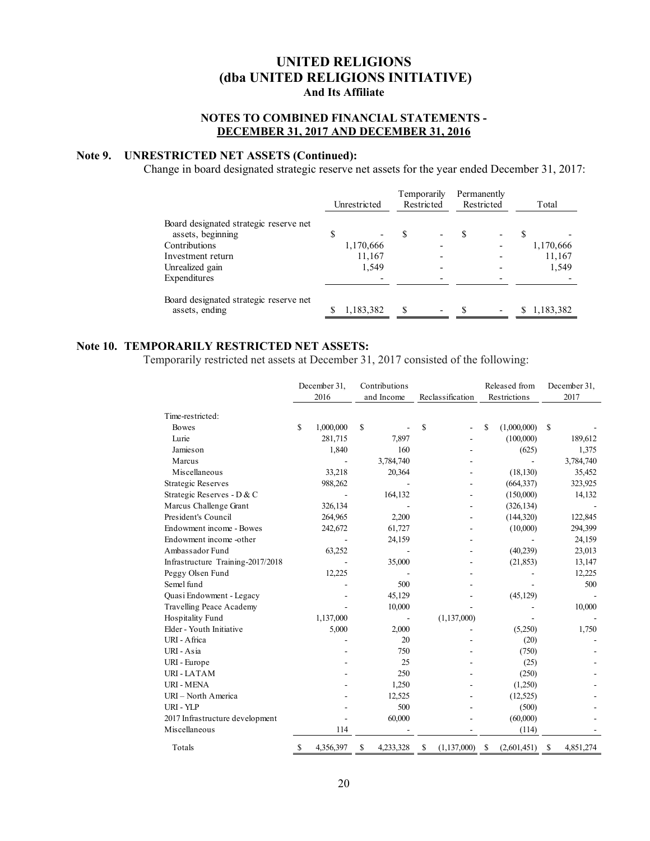### **NOTES TO COMBINED FINANCIAL STATEMENTS - DECEMBER 31, 2017 AND DECEMBER 31, 2016**

## **Note 9. UNRESTRICTED NET ASSETS (Continued):**

Change in board designated strategic reserve net assets for the year ended December 31, 2017:

|                                        | Unrestricted |           | Temporarily<br>Restricted |  | Permanently<br>Restricted |  | Total |           |
|----------------------------------------|--------------|-----------|---------------------------|--|---------------------------|--|-------|-----------|
| Board designated strategic reserve net |              |           |                           |  |                           |  |       |           |
| assets, beginning                      | \$           |           |                           |  | S                         |  |       |           |
| Contributions                          |              | 1,170,666 |                           |  |                           |  |       | 1,170,666 |
| Investment return                      |              | 11,167    |                           |  |                           |  |       | 11,167    |
| Unrealized gain                        |              | 1,549     |                           |  |                           |  |       | 1,549     |
| Expenditures                           |              |           |                           |  |                           |  |       |           |
| Board designated strategic reserve net |              |           |                           |  |                           |  |       |           |
| assets, ending                         |              | 1,183,382 |                           |  |                           |  |       | 1,183,382 |

### **Note 10. TEMPORARILY RESTRICTED NET ASSETS:**

Temporarily restricted net assets at December 31, 2017 consisted of the following:

|                                   |                 | Contributions<br>December 31, |                |                  |   | Released from |               | December 31, |
|-----------------------------------|-----------------|-------------------------------|----------------|------------------|---|---------------|---------------|--------------|
|                                   | 2016            |                               | and Income     | Reclassification |   | Restrictions  |               | 2017         |
| Time-restricted:                  |                 |                               |                |                  |   |               |               |              |
| <b>Bowes</b>                      | \$<br>1,000,000 |                               | S              | \$               | S | (1,000,000)   | <sup>\$</sup> |              |
| Lurie                             | 281,715         |                               | 7,897          |                  |   | (100,000)     |               | 189,612      |
| Jamieson                          | 1,840           |                               | 160            |                  |   | (625)         |               | 1,375        |
| Marcus                            |                 |                               | 3,784,740      |                  |   |               |               | 3,784,740    |
| Miscellaneous                     | 33,218          |                               | 20,364         |                  |   | (18, 130)     |               | 35,452       |
| <b>Strategic Reserves</b>         | 988,262         |                               |                |                  |   | (664, 337)    |               | 323,925      |
| Strategic Reserves - D & C        |                 |                               | 164,132        |                  |   | (150,000)     |               | 14,132       |
| Marcus Challenge Grant            | 326,134         |                               |                |                  |   | (326, 134)    |               |              |
| President's Council               | 264,965         |                               | 2,200          |                  |   | (144,320)     |               | 122,845      |
| Endowment income - Bowes          | 242,672         |                               | 61,727         |                  |   | (10,000)      |               | 294,399      |
| Endowment income-other            |                 |                               | 24,159         |                  |   |               |               | 24,159       |
| Ambassador Fund                   | 63,252          |                               |                |                  |   | (40,239)      |               | 23,013       |
| Infrastructure Training-2017/2018 |                 |                               | 35,000         |                  |   | (21, 853)     |               | 13,147       |
| Peggy Olsen Fund                  | 12,225          |                               |                |                  |   |               |               | 12,225       |
| Semel fund                        |                 |                               | 500            |                  |   |               |               | 500          |
| Quasi Endowment - Legacy          |                 |                               | 45,129         |                  |   | (45, 129)     |               |              |
| Travelling Peace Academy          |                 |                               | 10,000         |                  |   |               |               | 10,000       |
| Hospitality Fund                  | 1,137,000       |                               |                | (1, 137, 000)    |   |               |               |              |
| Elder - Youth Initiative          | 5,000           |                               | 2,000          |                  |   | (5,250)       |               | 1,750        |
| URI - Africa                      |                 |                               | 20             |                  |   | (20)          |               |              |
| URI - Asia                        |                 |                               | 750            |                  |   | (750)         |               |              |
| URI - Europe                      |                 |                               | 25             |                  |   | (25)          |               |              |
| <b>URI-LATAM</b>                  |                 |                               | 250            |                  |   | (250)         |               |              |
| <b>URI - MENA</b>                 |                 |                               | 1,250          |                  |   | (1,250)       |               |              |
| URI - North America               |                 |                               | 12,525         |                  |   | (12,525)      |               |              |
| URI - YLP                         |                 |                               | 500            |                  |   | (500)         |               |              |
| 2017 Infrastructure development   |                 |                               | 60,000         |                  |   | (60,000)      |               |              |
| Miscellaneous                     |                 | 114                           |                |                  |   | (114)         |               |              |
| Totals                            | 4,356,397<br>S  |                               | 4,233,328<br>S | S<br>(1,137,000) | S | (2,601,451)   | \$            | 4,851,274    |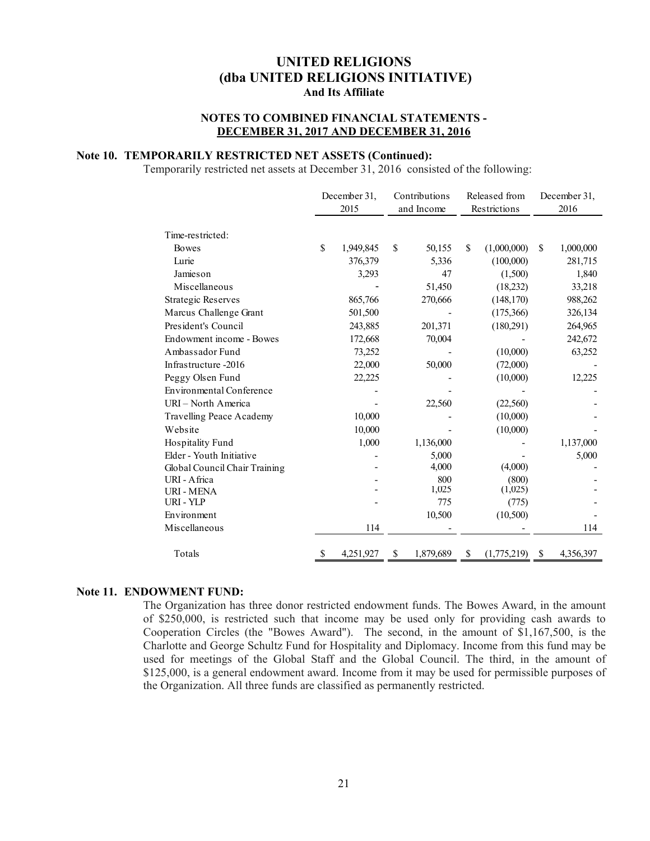### **NOTES TO COMBINED FINANCIAL STATEMENTS - DECEMBER 31, 2017 AND DECEMBER 31, 2016**

### **Note 10. TEMPORARILY RESTRICTED NET ASSETS (Continued):**

Temporarily restricted net assets at December 31, 2016 consisted of the following:

|                                 | December 31,<br>2015 |           | Contributions<br>and Income |           | Released from<br>Restrictions |   | December 31,<br>2016 |
|---------------------------------|----------------------|-----------|-----------------------------|-----------|-------------------------------|---|----------------------|
|                                 |                      |           |                             |           |                               |   |                      |
| Time-restricted:                |                      |           |                             |           |                               |   |                      |
| <b>Bowes</b>                    | $\mathbf{\hat{S}}$   | 1,949,845 | \$                          | 50,155    | \$<br>(1,000,000)             | S | 1,000,000            |
| Lurie                           |                      | 376,379   |                             | 5,336     | (100,000)                     |   | 281,715              |
| Jamieson                        |                      | 3,293     |                             | 47        | (1,500)                       |   | 1,840                |
| Miscellaneous                   |                      |           |                             | 51,450    | (18,232)                      |   | 33,218               |
| <b>Strategic Reserves</b>       |                      | 865,766   |                             | 270,666   | (148, 170)                    |   | 988,262              |
| Marcus Challenge Grant          |                      | 501,500   |                             |           | (175,366)                     |   | 326,134              |
| President's Council             |                      | 243,885   |                             | 201,371   | (180, 291)                    |   | 264,965              |
| Endowment income - Bowes        |                      | 172,668   |                             | 70,004    |                               |   | 242,672              |
| Ambassador Fund                 |                      | 73,252    |                             |           | (10,000)                      |   | 63,252               |
| Infrastructure -2016            |                      | 22,000    |                             | 50,000    | (72,000)                      |   |                      |
| Peggy Olsen Fund                |                      | 22,225    |                             |           | (10,000)                      |   | 12,225               |
| <b>Environmental Conference</b> |                      |           |                             |           |                               |   |                      |
| URI - North America             |                      |           |                             | 22,560    | (22, 560)                     |   |                      |
| Travelling Peace Academy        |                      | 10,000    |                             |           | (10,000)                      |   |                      |
| Website                         |                      | 10,000    |                             |           | (10,000)                      |   |                      |
| Hospitality Fund                |                      | 1,000     |                             | 1,136,000 |                               |   | 1,137,000            |
| Elder - Youth Initiative        |                      |           |                             | 5,000     |                               |   | 5,000                |
| Global Council Chair Training   |                      |           |                             | 4,000     | (4,000)                       |   |                      |
| URI - Africa                    |                      |           |                             | 800       | (800)                         |   |                      |
| URI - MENA                      |                      |           |                             | 1,025     | (1,025)                       |   |                      |
| URI - YLP                       |                      |           |                             | 775       | (775)                         |   |                      |
| Environment                     |                      |           |                             | 10,500    | (10,500)                      |   |                      |
| Miscellaneous                   |                      | 114       |                             |           |                               |   | 114                  |
| Totals                          |                      | 4,251,927 | S                           | 1,879,689 | \$<br>(1,775,219)             | S | 4,356,397            |

#### **Note 11. ENDOWMENT FUND:**

The Organization has three donor restricted endowment funds. The Bowes Award, in the amount of \$250,000, is restricted such that income may be used only for providing cash awards to Cooperation Circles (the "Bowes Award"). The second, in the amount of \$1,167,500, is the Charlotte and George Schultz Fund for Hospitality and Diplomacy. Income from this fund may be used for meetings of the Global Staff and the Global Council. The third, in the amount of \$125,000, is a general endowment award. Income from it may be used for permissible purposes of the Organization. All three funds are classified as permanently restricted.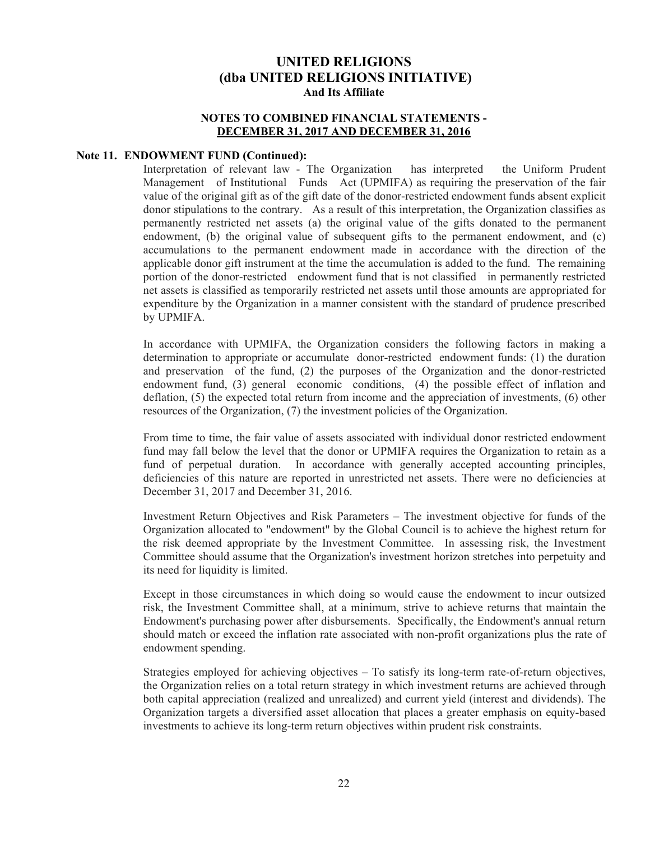### **NOTES TO COMBINED FINANCIAL STATEMENTS - DECEMBER 31, 2017 AND DECEMBER 31, 2016**

#### **Note 11. ENDOWMENT FUND (Continued):**

Interpretation of relevant law - The Organization has interpreted the Uniform Prudent Management of Institutional Funds Act (UPMIFA) as requiring the preservation of the fair value of the original gift as of the gift date of the donor-restricted endowment funds absent explicit donor stipulations to the contrary. As a result of this interpretation, the Organization classifies as permanently restricted net assets (a) the original value of the gifts donated to the permanent endowment, (b) the original value of subsequent gifts to the permanent endowment, and (c) accumulations to the permanent endowment made in accordance with the direction of the applicable donor gift instrument at the time the accumulation is added to the fund. The remaining portion of the donor-restricted endowment fund that is not classified in permanently restricted net assets is classified as temporarily restricted net assets until those amounts are appropriated for expenditure by the Organization in a manner consistent with the standard of prudence prescribed by UPMIFA.

In accordance with UPMIFA, the Organization considers the following factors in making a determination to appropriate or accumulate donor-restricted endowment funds: (1) the duration and preservation of the fund, (2) the purposes of the Organization and the donor-restricted endowment fund, (3) general economic conditions, (4) the possible effect of inflation and deflation, (5) the expected total return from income and the appreciation of investments, (6) other resources of the Organization, (7) the investment policies of the Organization.

From time to time, the fair value of assets associated with individual donor restricted endowment fund may fall below the level that the donor or UPMIFA requires the Organization to retain as a fund of perpetual duration. In accordance with generally accepted accounting principles, deficiencies of this nature are reported in unrestricted net assets. There were no deficiencies at December 31, 2017 and December 31, 2016.

Investment Return Objectives and Risk Parameters – The investment objective for funds of the Organization allocated to "endowment" by the Global Council is to achieve the highest return for the risk deemed appropriate by the Investment Committee. In assessing risk, the Investment Committee should assume that the Organization's investment horizon stretches into perpetuity and its need for liquidity is limited.

Except in those circumstances in which doing so would cause the endowment to incur outsized risk, the Investment Committee shall, at a minimum, strive to achieve returns that maintain the Endowment's purchasing power after disbursements. Specifically, the Endowment's annual return should match or exceed the inflation rate associated with non-profit organizations plus the rate of endowment spending.

Strategies employed for achieving objectives – To satisfy its long-term rate-of-return objectives, the Organization relies on a total return strategy in which investment returns are achieved through both capital appreciation (realized and unrealized) and current yield (interest and dividends). The Organization targets a diversified asset allocation that places a greater emphasis on equity-based investments to achieve its long-term return objectives within prudent risk constraints.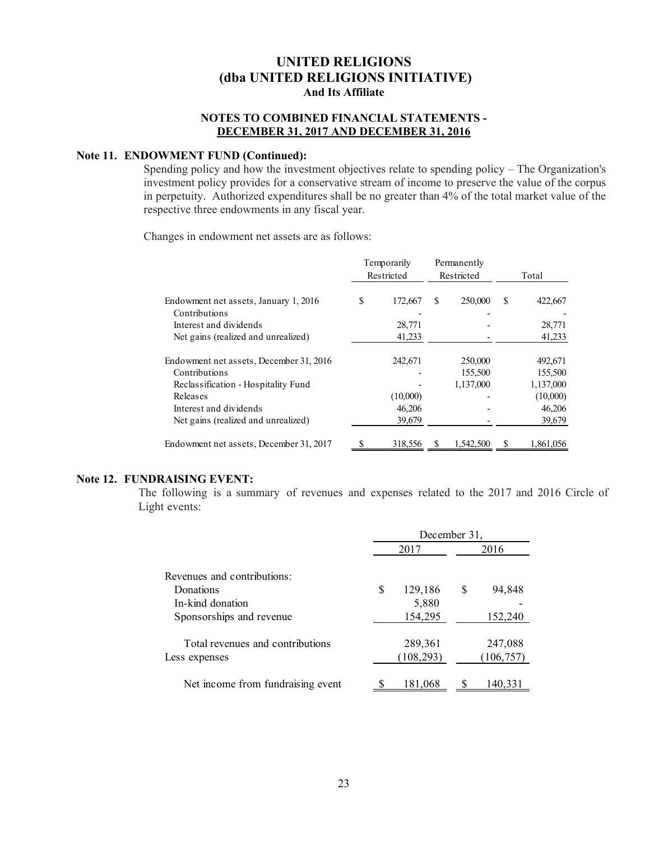### **NOTES TO COMBINED FINANCIAL STATEMENTS - DECEMBER 31, 2017 AND DECEMBER 31, 2016**

### **Note 11. ENDOWMENT FUND (Continued):**

Spending policy and how the investment objectives relate to spending policy – The Organization's investment policy provides for a conservative stream of income to preserve the value of the corpus in perpetuity. Authorized expenditures shall be no greater than 4% of the total market value of the respective three endowments in any fiscal year.

Changes in endowment net assets are as follows:

|                                         | Temporarily<br>Restricted |          |   | Permanently<br>Restricted |   | Total     |
|-----------------------------------------|---------------------------|----------|---|---------------------------|---|-----------|
|                                         |                           |          |   |                           |   |           |
| Endowment net assets, January 1, 2016   | S                         | 172,667  | S | 250,000                   | S | 422,667   |
| Contributions                           |                           |          |   |                           |   |           |
| Interest and dividends                  |                           | 28,771   |   |                           |   | 28,771    |
| Net gains (realized and unrealized)     |                           | 41,233   |   |                           |   | 41,233    |
| Endowment net assets, December 31, 2016 |                           | 242,671  |   | 250,000                   |   | 492,671   |
| Contributions                           |                           |          |   | 155,500                   |   | 155,500   |
| Reclassification - Hospitality Fund     |                           |          |   | 1,137,000                 |   | 1,137,000 |
| Releases                                |                           | (10,000) |   |                           |   | (10,000)  |
| Interest and dividends                  |                           | 46,206   |   |                           |   | 46,206    |
| Net gains (realized and unrealized)     |                           | 39,679   |   |                           |   | 39,679    |
| Endowment net assets, December 31, 2017 |                           | 318,556  |   | 1.542.500                 |   | 1.861.056 |

### **Note 12. FUNDRAISING EVENT:**

The following is a summary of revenues and expenses related to the 2017 and 2016 Circle of Light events:

|                                   | December 31,  |      |            |  |  |  |  |  |
|-----------------------------------|---------------|------|------------|--|--|--|--|--|
|                                   | 2017          | 2016 |            |  |  |  |  |  |
| Revenues and contributions:       |               |      |            |  |  |  |  |  |
| Donations                         | \$<br>129,186 | S    | 94,848     |  |  |  |  |  |
| In-kind donation                  | 5,880         |      |            |  |  |  |  |  |
| Sponsorships and revenue          | 154,295       |      | 152,240    |  |  |  |  |  |
| Total revenues and contributions  | 289,361       |      | 247,088    |  |  |  |  |  |
| Less expenses                     | (108, 293)    |      | (106, 757) |  |  |  |  |  |
| Net income from fundraising event | 181,068       |      | 140.33     |  |  |  |  |  |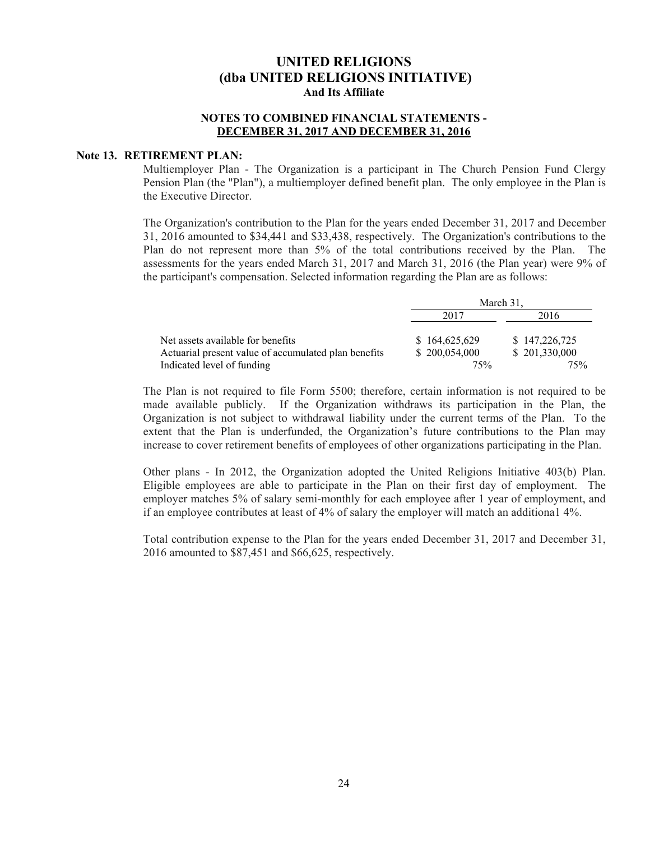### **NOTES TO COMBINED FINANCIAL STATEMENTS - DECEMBER 31, 2017 AND DECEMBER 31, 2016**

#### **Note 13. RETIREMENT PLAN:**

Multiemployer Plan - The Organization is a participant in The Church Pension Fund Clergy Pension Plan (the "Plan"), a multiemployer defined benefit plan. The only employee in the Plan is the Executive Director.

The Organization's contribution to the Plan for the years ended December 31, 2017 and December 31, 2016 amounted to \$34,441 and \$33,438, respectively. The Organization's contributions to the Plan do not represent more than 5% of the total contributions received by the Plan. The assessments for the years ended March 31, 2017 and March 31, 2016 (the Plan year) were 9% of the participant's compensation. Selected information regarding the Plan are as follows:

|                                                      | March 31.     |               |  |  |  |
|------------------------------------------------------|---------------|---------------|--|--|--|
|                                                      | 2017          | 2016          |  |  |  |
| Net assets available for benefits                    | \$164,625,629 | \$147,226,725 |  |  |  |
| Actuarial present value of accumulated plan benefits | \$200,054,000 | \$201,330,000 |  |  |  |
| Indicated level of funding                           | 75%           | 75%           |  |  |  |

The Plan is not required to file Form 5500; therefore, certain information is not required to be made available publicly. If the Organization withdraws its participation in the Plan, the Organization is not subject to withdrawal liability under the current terms of the Plan. To the extent that the Plan is underfunded, the Organization's future contributions to the Plan may increase to cover retirement benefits of employees of other organizations participating in the Plan.

Other plans - In 2012, the Organization adopted the United Religions Initiative 403(b) Plan. Eligible employees are able to participate in the Plan on their first day of employment. The employer matches 5% of salary semi-monthly for each employee after 1 year of employment, and if an employee contributes at least of 4% of salary the employer will match an additiona1 4%.

Total contribution expense to the Plan for the years ended December 31, 2017 and December 31, 2016 amounted to \$87,451 and \$66,625, respectively.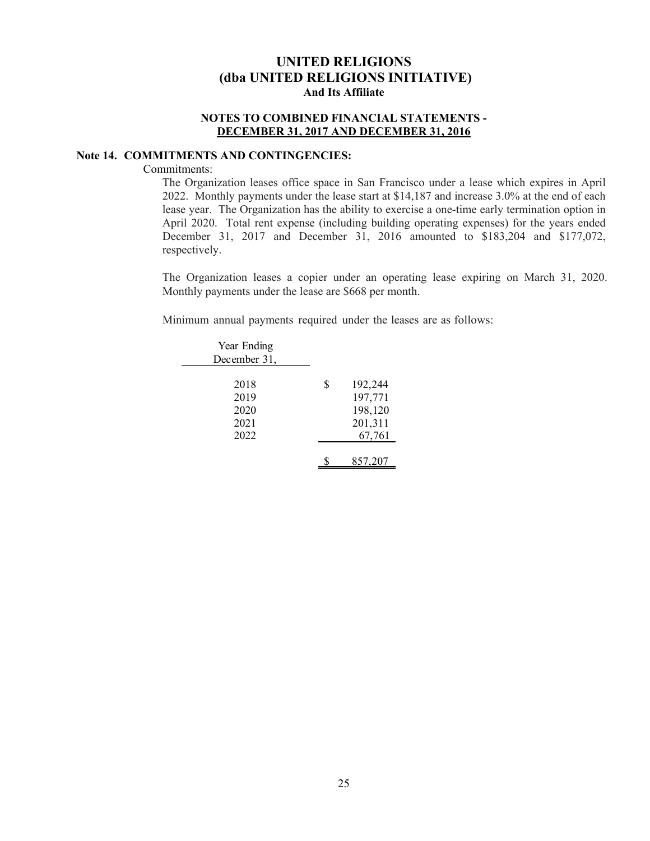### **NOTES TO COMBINED FINANCIAL STATEMENTS - DECEMBER 31, 2017 AND DECEMBER 31, 2016**

### **Note 14. COMMITMENTS AND CONTINGENCIES:**

#### Commitments:

The Organization leases office space in San Francisco under a lease which expires in April 2022. Monthly payments under the lease start at \$14,187 and increase 3.0% at the end of each lease year. The Organization has the ability to exercise a one-time early termination option in April 2020. Total rent expense (including building operating expenses) for the years ended December 31, 2017 and December 31, 2016 amounted to \$183,204 and \$177,072, respectively.

The Organization leases a copier under an operating lease expiring on March 31, 2020. Monthly payments under the lease are \$668 per month.

Minimum annual payments required under the leases are as follows:

| Year Ending<br>December 31,          |                                                          |
|--------------------------------------|----------------------------------------------------------|
| 2018<br>2019<br>2020<br>2021<br>2022 | \$<br>192,244<br>197,771<br>198,120<br>201,311<br>67,761 |
|                                      | 857,207                                                  |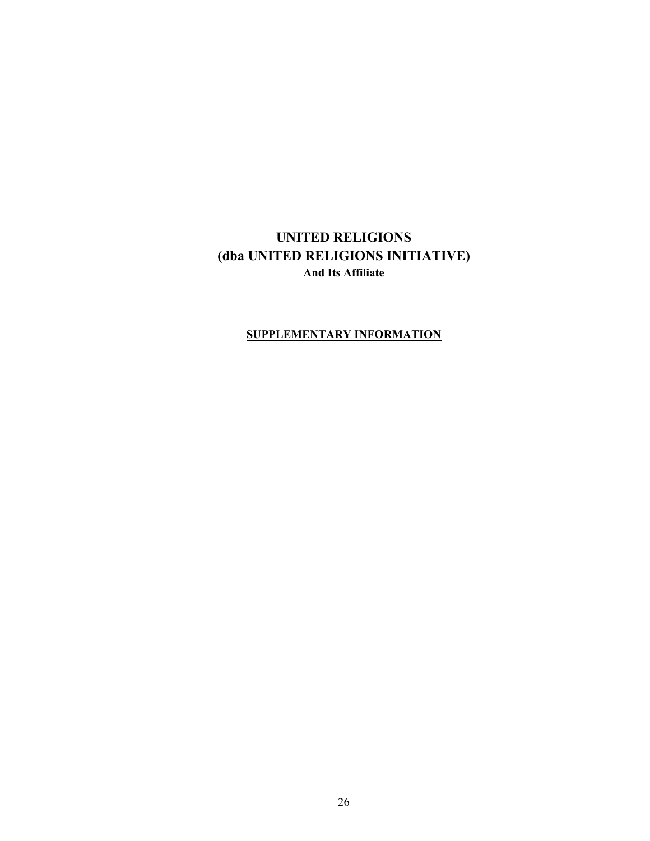## **SUPPLEMENTARY INFORMATION**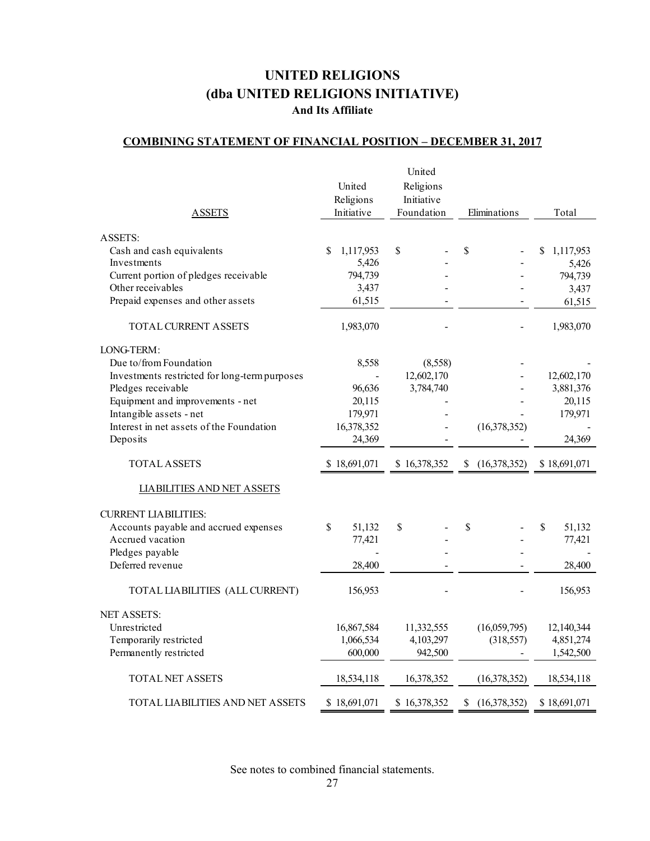## **COMBINING STATEMENT OF FINANCIAL POSITION – DECEMBER 31, 2017**

|                                               |                 | United       |                    |                |
|-----------------------------------------------|-----------------|--------------|--------------------|----------------|
|                                               | United          | Religions    |                    |                |
|                                               | Religions       | Initiative   |                    |                |
| <b>ASSETS</b>                                 | Initiative      | Foundation   | Eliminations       | Total          |
|                                               |                 |              |                    |                |
| <b>ASSETS:</b>                                |                 |              |                    |                |
| Cash and cash equivalents                     | \$<br>1,117,953 | $\mathbb{S}$ | \$                 | 1,117,953<br>S |
| Investments                                   | 5,426           |              |                    | 5,426          |
| Current portion of pledges receivable         | 794,739         |              |                    | 794,739        |
| Other receivables                             | 3,437           |              |                    | 3,437          |
| Prepaid expenses and other assets             | 61,515          |              |                    | 61,515         |
| TOTAL CURRENT ASSETS                          | 1,983,070       |              |                    | 1,983,070      |
| LONG-TERM:                                    |                 |              |                    |                |
| Due to/from Foundation                        | 8,558           | (8,558)      |                    |                |
| Investments restricted for long-term purposes |                 | 12,602,170   |                    | 12,602,170     |
| Pledges receivable                            | 96,636          | 3,784,740    |                    | 3,881,376      |
| Equipment and improvements - net              | 20,115          |              |                    | 20,115         |
| Intangible assets - net                       | 179,971         |              |                    | 179,971        |
| Interest in net assets of the Foundation      | 16,378,352      |              | (16,378,352)       |                |
| Deposits                                      | 24,369          |              |                    | 24,369         |
| <b>TOTAL ASSETS</b>                           | \$18,691,071    | \$16,378,352 | (16,378,352)<br>S  | \$18,691,071   |
| <b>LIABILITIES AND NET ASSETS</b>             |                 |              |                    |                |
| <b>CURRENT LIABILITIES:</b>                   |                 |              |                    |                |
| Accounts payable and accrued expenses         | 51,132<br>\$    | \$           | \$                 | \$<br>51,132   |
| Accrued vacation                              | 77,421          |              |                    | 77,421         |
| Pledges payable                               |                 |              |                    |                |
| Deferred revenue                              | 28,400          |              |                    | 28,400         |
| TOTAL LIABILITIES (ALL CURRENT)               | 156,953         |              |                    | 156,953        |
| <b>NET ASSETS:</b>                            |                 |              |                    |                |
| Unrestricted                                  | 16,867,584      | 11,332,555   | (16,059,795)       | 12,140,344     |
| Temporarily restricted                        | 1,066,534       | 4,103,297    | (318, 557)         | 4,851,274      |
| Permanently restricted                        | 600,000         | 942,500      |                    | 1,542,500      |
| <b>TOTAL NET ASSETS</b>                       | 18,534,118      | 16,378,352   | (16, 378, 352)     | 18,534,118     |
| <b>TOTAL LIABILITIES AND NET ASSETS</b>       | \$18,691,071    | \$16,378,352 | (16,378,352)<br>\$ | \$18,691,071   |